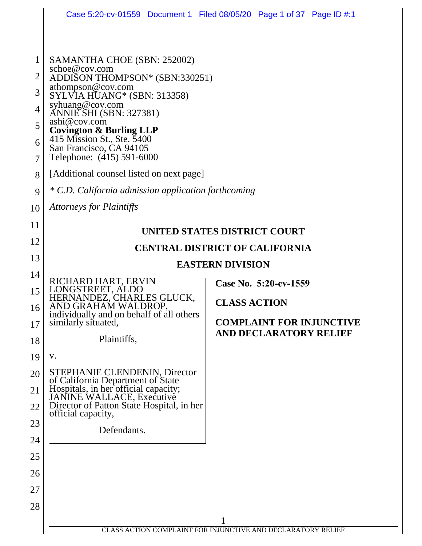| $\mathbf{1}$<br>SAMANTHA CHOE (SBN: 252002)<br>schoe@cov.com<br>2<br>ADDISON THOMPSON* (SBN:330251)<br>athompson@cov.com<br>3<br>SYLVIA HUANG* (SBN: 313358)<br>syhuang@cov.com<br>ANNIE SHI (SBN: 327381)<br>$\overline{4}$<br>ashi@cov.com<br>5<br><b>Covington &amp; Burling LLP</b><br>415 Mission St., Ste. 5400<br>6<br>San Francisco, CA 94105<br>Telephone: (415) 591-6000<br>7<br>[Additional counsel listed on next page]<br>8<br>* C.D. California admission application forthcoming<br>9<br><b>Attorneys for Plaintiffs</b><br>10<br>11<br>UNITED STATES DISTRICT COURT<br>12<br><b>CENTRAL DISTRICT OF CALIFORNIA</b><br>13<br><b>EASTERN DIVISION</b><br>14<br>RICHARD HART, ERVIN<br>Case No. 5:20-cv-1559<br>LONGSTREET, ALDO<br>15<br>HERNANDEZ, CHARLES GLUCK,<br><b>CLASS ACTION</b><br>AND GRAHAM WALDROP.<br>16<br>individually and on behalf of all others<br><b>COMPLAINT FOR INJUNCTIVE</b><br>similarly situated,<br>17<br><b>AND DECLARATORY RELIEF</b><br>Plaintiffs,<br>18<br>19<br>V.<br>STEPHANIE CLENDENIN, Director<br>20<br>of California Department of State<br>Hospitals, in her official capacity;<br>JANINE WALLACE, Executive<br>21<br>Director of Patton State Hospital, in her<br>22<br>official capacity,<br>23<br>Defendants.<br>24 |  | Case 5:20-cv-01559 Document 1 Filed 08/05/20 Page 1 of 37 Page ID #:1 |
|-------------------------------------------------------------------------------------------------------------------------------------------------------------------------------------------------------------------------------------------------------------------------------------------------------------------------------------------------------------------------------------------------------------------------------------------------------------------------------------------------------------------------------------------------------------------------------------------------------------------------------------------------------------------------------------------------------------------------------------------------------------------------------------------------------------------------------------------------------------------------------------------------------------------------------------------------------------------------------------------------------------------------------------------------------------------------------------------------------------------------------------------------------------------------------------------------------------------------------------------------------------------------------|--|-----------------------------------------------------------------------|
|                                                                                                                                                                                                                                                                                                                                                                                                                                                                                                                                                                                                                                                                                                                                                                                                                                                                                                                                                                                                                                                                                                                                                                                                                                                                               |  |                                                                       |
|                                                                                                                                                                                                                                                                                                                                                                                                                                                                                                                                                                                                                                                                                                                                                                                                                                                                                                                                                                                                                                                                                                                                                                                                                                                                               |  |                                                                       |
|                                                                                                                                                                                                                                                                                                                                                                                                                                                                                                                                                                                                                                                                                                                                                                                                                                                                                                                                                                                                                                                                                                                                                                                                                                                                               |  |                                                                       |
|                                                                                                                                                                                                                                                                                                                                                                                                                                                                                                                                                                                                                                                                                                                                                                                                                                                                                                                                                                                                                                                                                                                                                                                                                                                                               |  |                                                                       |
|                                                                                                                                                                                                                                                                                                                                                                                                                                                                                                                                                                                                                                                                                                                                                                                                                                                                                                                                                                                                                                                                                                                                                                                                                                                                               |  |                                                                       |
|                                                                                                                                                                                                                                                                                                                                                                                                                                                                                                                                                                                                                                                                                                                                                                                                                                                                                                                                                                                                                                                                                                                                                                                                                                                                               |  |                                                                       |
|                                                                                                                                                                                                                                                                                                                                                                                                                                                                                                                                                                                                                                                                                                                                                                                                                                                                                                                                                                                                                                                                                                                                                                                                                                                                               |  |                                                                       |
|                                                                                                                                                                                                                                                                                                                                                                                                                                                                                                                                                                                                                                                                                                                                                                                                                                                                                                                                                                                                                                                                                                                                                                                                                                                                               |  |                                                                       |
|                                                                                                                                                                                                                                                                                                                                                                                                                                                                                                                                                                                                                                                                                                                                                                                                                                                                                                                                                                                                                                                                                                                                                                                                                                                                               |  |                                                                       |
|                                                                                                                                                                                                                                                                                                                                                                                                                                                                                                                                                                                                                                                                                                                                                                                                                                                                                                                                                                                                                                                                                                                                                                                                                                                                               |  |                                                                       |
|                                                                                                                                                                                                                                                                                                                                                                                                                                                                                                                                                                                                                                                                                                                                                                                                                                                                                                                                                                                                                                                                                                                                                                                                                                                                               |  |                                                                       |
|                                                                                                                                                                                                                                                                                                                                                                                                                                                                                                                                                                                                                                                                                                                                                                                                                                                                                                                                                                                                                                                                                                                                                                                                                                                                               |  |                                                                       |
|                                                                                                                                                                                                                                                                                                                                                                                                                                                                                                                                                                                                                                                                                                                                                                                                                                                                                                                                                                                                                                                                                                                                                                                                                                                                               |  |                                                                       |
|                                                                                                                                                                                                                                                                                                                                                                                                                                                                                                                                                                                                                                                                                                                                                                                                                                                                                                                                                                                                                                                                                                                                                                                                                                                                               |  |                                                                       |
|                                                                                                                                                                                                                                                                                                                                                                                                                                                                                                                                                                                                                                                                                                                                                                                                                                                                                                                                                                                                                                                                                                                                                                                                                                                                               |  |                                                                       |
|                                                                                                                                                                                                                                                                                                                                                                                                                                                                                                                                                                                                                                                                                                                                                                                                                                                                                                                                                                                                                                                                                                                                                                                                                                                                               |  |                                                                       |
|                                                                                                                                                                                                                                                                                                                                                                                                                                                                                                                                                                                                                                                                                                                                                                                                                                                                                                                                                                                                                                                                                                                                                                                                                                                                               |  |                                                                       |
|                                                                                                                                                                                                                                                                                                                                                                                                                                                                                                                                                                                                                                                                                                                                                                                                                                                                                                                                                                                                                                                                                                                                                                                                                                                                               |  |                                                                       |
|                                                                                                                                                                                                                                                                                                                                                                                                                                                                                                                                                                                                                                                                                                                                                                                                                                                                                                                                                                                                                                                                                                                                                                                                                                                                               |  |                                                                       |
|                                                                                                                                                                                                                                                                                                                                                                                                                                                                                                                                                                                                                                                                                                                                                                                                                                                                                                                                                                                                                                                                                                                                                                                                                                                                               |  |                                                                       |
|                                                                                                                                                                                                                                                                                                                                                                                                                                                                                                                                                                                                                                                                                                                                                                                                                                                                                                                                                                                                                                                                                                                                                                                                                                                                               |  |                                                                       |
|                                                                                                                                                                                                                                                                                                                                                                                                                                                                                                                                                                                                                                                                                                                                                                                                                                                                                                                                                                                                                                                                                                                                                                                                                                                                               |  |                                                                       |
|                                                                                                                                                                                                                                                                                                                                                                                                                                                                                                                                                                                                                                                                                                                                                                                                                                                                                                                                                                                                                                                                                                                                                                                                                                                                               |  |                                                                       |
|                                                                                                                                                                                                                                                                                                                                                                                                                                                                                                                                                                                                                                                                                                                                                                                                                                                                                                                                                                                                                                                                                                                                                                                                                                                                               |  |                                                                       |
| 25                                                                                                                                                                                                                                                                                                                                                                                                                                                                                                                                                                                                                                                                                                                                                                                                                                                                                                                                                                                                                                                                                                                                                                                                                                                                            |  |                                                                       |
| 26                                                                                                                                                                                                                                                                                                                                                                                                                                                                                                                                                                                                                                                                                                                                                                                                                                                                                                                                                                                                                                                                                                                                                                                                                                                                            |  |                                                                       |
| 27                                                                                                                                                                                                                                                                                                                                                                                                                                                                                                                                                                                                                                                                                                                                                                                                                                                                                                                                                                                                                                                                                                                                                                                                                                                                            |  |                                                                       |
| 28                                                                                                                                                                                                                                                                                                                                                                                                                                                                                                                                                                                                                                                                                                                                                                                                                                                                                                                                                                                                                                                                                                                                                                                                                                                                            |  |                                                                       |
| <b>CLASS ACTION COMPLAINT FOR INJUNCTIVE AND DECLARATORY RELIEF</b>                                                                                                                                                                                                                                                                                                                                                                                                                                                                                                                                                                                                                                                                                                                                                                                                                                                                                                                                                                                                                                                                                                                                                                                                           |  |                                                                       |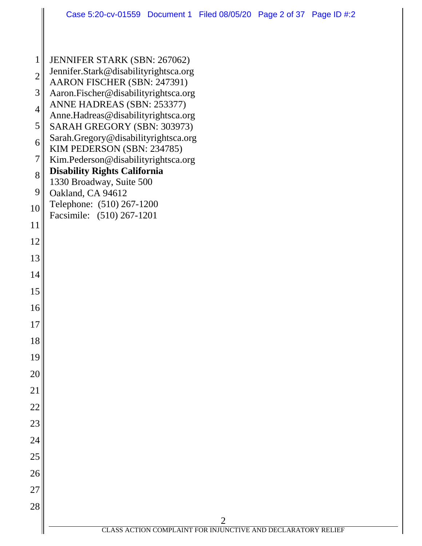| $\mathbf{1}$    | <b>JENNIFER STARK (SBN: 267062)</b><br>Jennifer.Stark@disabilityrightsca.org   |
|-----------------|--------------------------------------------------------------------------------|
| $\overline{c}$  | AARON FISCHER (SBN: 247391)                                                    |
| 3               | Aaron.Fischer@disabilityrightsca.org<br>ANNE HADREAS (SBN: 253377)             |
| $\overline{4}$  | Anne.Hadreas@disabilityrightsca.org                                            |
| 5               | SARAH GREGORY (SBN: 303973)<br>Sarah.Gregory@disabilityrightsca.org            |
| 6               | KIM PEDERSON (SBN: 234785)                                                     |
| $\overline{7}$  | Kim.Pederson@disabilityrightsca.org<br><b>Disability Rights California</b>     |
| 8               | 1330 Broadway, Suite 500                                                       |
| 9               | Oakland, CA 94612<br>Telephone: (510) 267-1200                                 |
| 10              | Facsimile: (510) 267-1201                                                      |
| 11              |                                                                                |
| 12              |                                                                                |
| 13              |                                                                                |
| 14              |                                                                                |
| 15              |                                                                                |
| 16              |                                                                                |
| 17              |                                                                                |
| 18              |                                                                                |
| 19              |                                                                                |
| 20              |                                                                                |
| 21              |                                                                                |
| 22              |                                                                                |
| $\overline{23}$ |                                                                                |
| $\overline{24}$ |                                                                                |
| 25              |                                                                                |
| 26              |                                                                                |
| 27              |                                                                                |
| 28              |                                                                                |
|                 | $\overline{c}$<br>CLASS ACTION COMPLAINT FOR INJUNCTIVE AND DECLARATORY RELIEF |
|                 |                                                                                |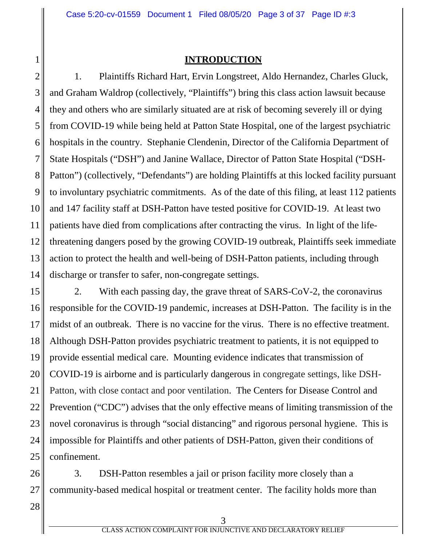#### **INTRODUCTION**

2 3 4 5 6 7 8 9 10 11 12 13 14 1. Plaintiffs Richard Hart, Ervin Longstreet, Aldo Hernandez, Charles Gluck, and Graham Waldrop (collectively, "Plaintiffs") bring this class action lawsuit because they and others who are similarly situated are at risk of becoming severely ill or dying from COVID-19 while being held at Patton State Hospital, one of the largest psychiatric hospitals in the country. Stephanie Clendenin, Director of the California Department of State Hospitals ("DSH") and Janine Wallace, Director of Patton State Hospital ("DSH-Patton") (collectively, "Defendants") are holding Plaintiffs at this locked facility pursuant to involuntary psychiatric commitments. As of the date of this filing, at least 112 patients and 147 facility staff at DSH-Patton have tested positive for COVID-19. At least two patients have died from complications after contracting the virus. In light of the lifethreatening dangers posed by the growing COVID-19 outbreak, Plaintiffs seek immediate action to protect the health and well-being of DSH-Patton patients, including through discharge or transfer to safer, non-congregate settings.

15 16 17 18 19 20 21 22 23 24 25 2. With each passing day, the grave threat of SARS-CoV-2, the coronavirus responsible for the COVID-19 pandemic, increases at DSH-Patton. The facility is in the midst of an outbreak. There is no vaccine for the virus. There is no effective treatment. Although DSH-Patton provides psychiatric treatment to patients, it is not equipped to provide essential medical care. Mounting evidence indicates that transmission of COVID-19 is airborne and is particularly dangerous in congregate settings, like DSH-Patton, with close contact and poor ventilation. The Centers for Disease Control and Prevention ("CDC") advises that the only effective means of limiting transmission of the novel coronavirus is through "social distancing" and rigorous personal hygiene. This is impossible for Plaintiffs and other patients of DSH-Patton, given their conditions of confinement.

26 27 3. DSH-Patton resembles a jail or prison facility more closely than a community-based medical hospital or treatment center. The facility holds more than

28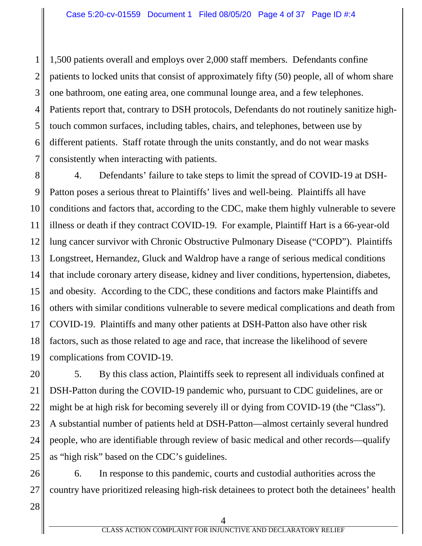1 2 3 4 5 6 7 1,500 patients overall and employs over 2,000 staff members. Defendants confine patients to locked units that consist of approximately fifty (50) people, all of whom share one bathroom, one eating area, one communal lounge area, and a few telephones. Patients report that, contrary to DSH protocols, Defendants do not routinely sanitize hightouch common surfaces, including tables, chairs, and telephones, between use by different patients. Staff rotate through the units constantly, and do not wear masks consistently when interacting with patients.

8 9 10 11 12 13 14 15 16 17 18 19 4. Defendants' failure to take steps to limit the spread of COVID-19 at DSH-Patton poses a serious threat to Plaintiffs' lives and well-being. Plaintiffs all have conditions and factors that, according to the CDC, make them highly vulnerable to severe illness or death if they contract COVID-19. For example, Plaintiff Hart is a 66-year-old lung cancer survivor with Chronic Obstructive Pulmonary Disease ("COPD"). Plaintiffs Longstreet, Hernandez, Gluck and Waldrop have a range of serious medical conditions that include coronary artery disease, kidney and liver conditions, hypertension, diabetes, and obesity. According to the CDC, these conditions and factors make Plaintiffs and others with similar conditions vulnerable to severe medical complications and death from COVID-19. Plaintiffs and many other patients at DSH-Patton also have other risk factors, such as those related to age and race, that increase the likelihood of severe complications from COVID-19.

20 21 22 23 24 25 5. By this class action, Plaintiffs seek to represent all individuals confined at DSH-Patton during the COVID-19 pandemic who, pursuant to CDC guidelines, are or might be at high risk for becoming severely ill or dying from COVID-19 (the "Class"). A substantial number of patients held at DSH-Patton—almost certainly several hundred people, who are identifiable through review of basic medical and other records—qualify as "high risk" based on the CDC's guidelines.

26 27 6. In response to this pandemic, courts and custodial authorities across the country have prioritized releasing high-risk detainees to protect both the detainees' health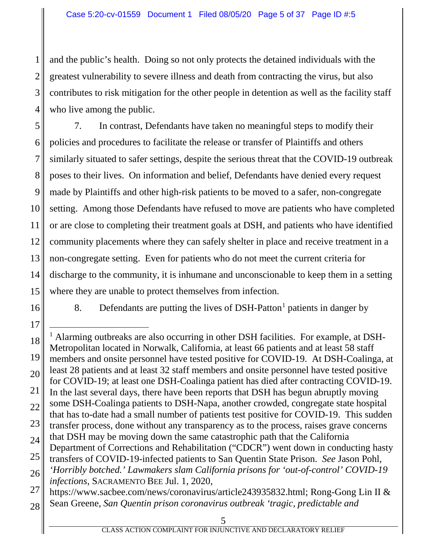3 4 and the public's health. Doing so not only protects the detained individuals with the greatest vulnerability to severe illness and death from contracting the virus, but also contributes to risk mitigation for the other people in detention as well as the facility staff who live among the public.

5 6 7 8 9 10 11 12 13 14 15 7. In contrast, Defendants have taken no meaningful steps to modify their policies and procedures to facilitate the release or transfer of Plaintiffs and others similarly situated to safer settings, despite the serious threat that the COVID-19 outbreak poses to their lives. On information and belief, Defendants have denied every request made by Plaintiffs and other high-risk patients to be moved to a safer, non-congregate setting. Among those Defendants have refused to move are patients who have completed or are close to completing their treatment goals at DSH, and patients who have identified community placements where they can safely shelter in place and receive treatment in a non-congregate setting. Even for patients who do not meet the current criteria for discharge to the community, it is inhumane and unconscionable to keep them in a setting where they are unable to protect themselves from infection.

16

1

2

8. Defendants are putting the lives of  $DSH-Patton<sup>1</sup>$  patients in danger by

17 18 19 20 21 22 23 24 25 26 27 28 <sup>1</sup> Alarming outbreaks are also occurring in other DSH facilities. For example, at DSH-Metropolitan located in Norwalk, California, at least 66 patients and at least 58 staff members and onsite personnel have tested positive for COVID-19. At DSH-Coalinga, at least 28 patients and at least 32 staff members and onsite personnel have tested positive for COVID-19; at least one DSH-Coalinga patient has died after contracting COVID-19. In the last several days, there have been reports that DSH has begun abruptly moving some DSH-Coalinga patients to DSH-Napa, another crowded, congregate state hospital that has to-date had a small number of patients test positive for COVID-19. This sudden transfer process, done without any transparency as to the process, raises grave concerns that DSH may be moving down the same catastrophic path that the California Department of Corrections and Rehabilitation ("CDCR") went down in conducting hasty transfers of COVID-19-infected patients to San Quentin State Prison. *See* Jason Pohl, *'Horribly botched.' Lawmakers slam California prisons for 'out-of-control' COVID-19 infections*, SACRAMENTO BEE Jul. 1, 2020, https://www.sacbee.com/news/coronavirus/article243935832.html; Rong-Gong Lin II & Sean Greene, *San Quentin prison coronavirus outbreak 'tragic, predictable and*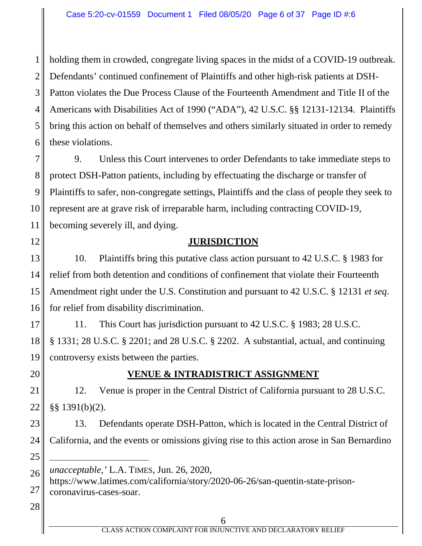1 2 3 4 5 6 holding them in crowded, congregate living spaces in the midst of a COVID-19 outbreak. Defendants' continued confinement of Plaintiffs and other high-risk patients at DSH-Patton violates the Due Process Clause of the Fourteenth Amendment and Title II of the Americans with Disabilities Act of 1990 ("ADA"), 42 U.S.C. §§ 12131-12134*.* Plaintiffs bring this action on behalf of themselves and others similarly situated in order to remedy these violations.

7 8 9 10 11 9. Unless this Court intervenes to order Defendants to take immediate steps to protect DSH-Patton patients, including by effectuating the discharge or transfer of Plaintiffs to safer, non-congregate settings, Plaintiffs and the class of people they seek to represent are at grave risk of irreparable harm, including contracting COVID-19, becoming severely ill, and dying.

### **JURISDICTION**

13 14 15 16 10. Plaintiffs bring this putative class action pursuant to 42 U.S.C. § 1983 for relief from both detention and conditions of confinement that violate their Fourteenth Amendment right under the U.S. Constitution and pursuant to 42 U.S.C. § 12131 *et seq*. for relief from disability discrimination.

17 18 19 11. This Court has jurisdiction pursuant to 42 U.S.C. § 1983; 28 U.S.C. § 1331; 28 U.S.C. § 2201; and 28 U.S.C. § 2202. A substantial, actual, and continuing controversy exists between the parties.

20

12

# **VENUE & INTRADISTRICT ASSIGNMENT**

21 22 12. Venue is proper in the Central District of California pursuant to 28 U.S.C. §§ 1391(b)(2).

23 24 25 13. Defendants operate DSH-Patton, which is located in the Central District of California, and the events or omissions giving rise to this action arose in San Bernardino  $\overline{a}$ 

https://www.latimes.com/california/story/2020-06-26/san-quentin-state-prisoncoronavirus-cases-soar.

28

<sup>26</sup> *unacceptable,'* L.A. TIMES, Jun. 26, 2020,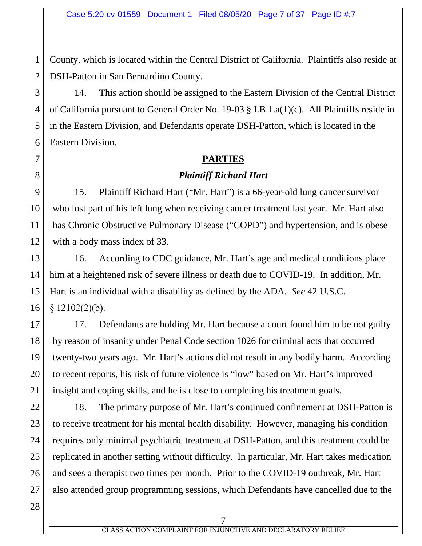County, which is located within the Central District of California. Plaintiffs also reside at DSH-Patton in San Bernardino County.

14. This action should be assigned to the Eastern Division of the Central District of California pursuant to General Order No. 19-03 § I.B.1.a(1)(c). All Plaintiffs reside in in the Eastern Division, and Defendants operate DSH-Patton, which is located in the Eastern Division.

#### **PARTIES**

### *Plaintiff Richard Hart*

9 10 11 12 15. Plaintiff Richard Hart ("Mr. Hart") is a 66-year-old lung cancer survivor who lost part of his left lung when receiving cancer treatment last year. Mr. Hart also has Chronic Obstructive Pulmonary Disease ("COPD") and hypertension, and is obese with a body mass index of 33.

13 14 15 16 16. According to CDC guidance, Mr. Hart's age and medical conditions place him at a heightened risk of severe illness or death due to COVID-19. In addition, Mr. Hart is an individual with a disability as defined by the ADA. *See* 42 U.S.C.  $§ 12102(2)(b).$ 

17 18 19 20 21 17. Defendants are holding Mr. Hart because a court found him to be not guilty by reason of insanity under Penal Code section 1026 for criminal acts that occurred twenty-two years ago. Mr. Hart's actions did not result in any bodily harm. According to recent reports, his risk of future violence is "low" based on Mr. Hart's improved insight and coping skills, and he is close to completing his treatment goals.

22 23 24 25 26 27 18. The primary purpose of Mr. Hart's continued confinement at DSH-Patton is to receive treatment for his mental health disability. However, managing his condition requires only minimal psychiatric treatment at DSH-Patton, and this treatment could be replicated in another setting without difficulty. In particular, Mr. Hart takes medication and sees a therapist two times per month. Prior to the COVID-19 outbreak, Mr. Hart also attended group programming sessions, which Defendants have cancelled due to the

28

1

2

3

4

5

6

7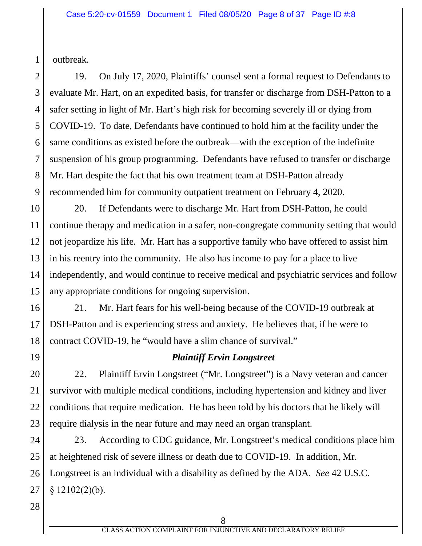outbreak.

1

2 3 4 5 6 7 8 9 19. On July 17, 2020, Plaintiffs' counsel sent a formal request to Defendants to evaluate Mr. Hart, on an expedited basis, for transfer or discharge from DSH-Patton to a safer setting in light of Mr. Hart's high risk for becoming severely ill or dying from COVID-19. To date, Defendants have continued to hold him at the facility under the same conditions as existed before the outbreak—with the exception of the indefinite suspension of his group programming. Defendants have refused to transfer or discharge Mr. Hart despite the fact that his own treatment team at DSH-Patton already recommended him for community outpatient treatment on February 4, 2020.

10 11 12 13 14 15 20. If Defendants were to discharge Mr. Hart from DSH-Patton, he could continue therapy and medication in a safer, non-congregate community setting that would not jeopardize his life. Mr. Hart has a supportive family who have offered to assist him in his reentry into the community. He also has income to pay for a place to live independently, and would continue to receive medical and psychiatric services and follow any appropriate conditions for ongoing supervision.

16 17 18 21. Mr. Hart fears for his well-being because of the COVID-19 outbreak at DSH-Patton and is experiencing stress and anxiety. He believes that, if he were to contract COVID-19, he "would have a slim chance of survival."

19

### *Plaintiff Ervin Longstreet*

20 21 22 23 22. Plaintiff Ervin Longstreet ("Mr. Longstreet") is a Navy veteran and cancer survivor with multiple medical conditions, including hypertension and kidney and liver conditions that require medication. He has been told by his doctors that he likely will require dialysis in the near future and may need an organ transplant.

24 25 26 27 23. According to CDC guidance, Mr. Longstreet's medical conditions place him at heightened risk of severe illness or death due to COVID-19. In addition, Mr. Longstreet is an individual with a disability as defined by the ADA. *See* 42 U.S.C.  $§ 12102(2)(b).$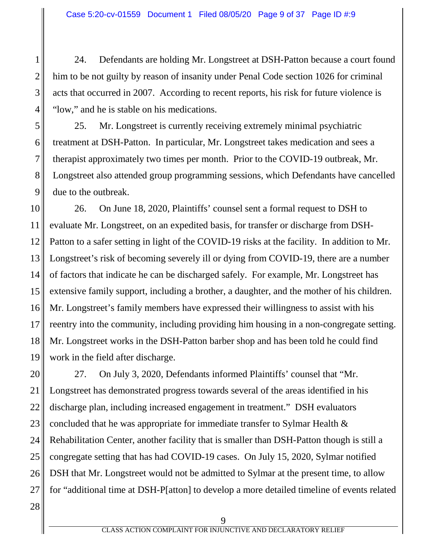24. Defendants are holding Mr. Longstreet at DSH-Patton because a court found him to be not guilty by reason of insanity under Penal Code section 1026 for criminal acts that occurred in 2007. According to recent reports, his risk for future violence is "low," and he is stable on his medications.

5 6 7 8 9 25. Mr. Longstreet is currently receiving extremely minimal psychiatric treatment at DSH-Patton. In particular, Mr. Longstreet takes medication and sees a therapist approximately two times per month. Prior to the COVID-19 outbreak, Mr. Longstreet also attended group programming sessions, which Defendants have cancelled due to the outbreak.

10 11 12 13 14 15 16 17 18 19 26. On June 18, 2020, Plaintiffs' counsel sent a formal request to DSH to evaluate Mr. Longstreet, on an expedited basis, for transfer or discharge from DSH-Patton to a safer setting in light of the COVID-19 risks at the facility. In addition to Mr. Longstreet's risk of becoming severely ill or dying from COVID-19, there are a number of factors that indicate he can be discharged safely. For example, Mr. Longstreet has extensive family support, including a brother, a daughter, and the mother of his children. Mr. Longstreet's family members have expressed their willingness to assist with his reentry into the community, including providing him housing in a non-congregate setting. Mr. Longstreet works in the DSH-Patton barber shop and has been told he could find work in the field after discharge.

20 21 22 23 24 25 26 27 27. On July 3, 2020, Defendants informed Plaintiffs' counsel that "Mr. Longstreet has demonstrated progress towards several of the areas identified in his discharge plan, including increased engagement in treatment." DSH evaluators concluded that he was appropriate for immediate transfer to Sylmar Health & Rehabilitation Center, another facility that is smaller than DSH-Patton though is still a congregate setting that has had COVID-19 cases. On July 15, 2020, Sylmar notified DSH that Mr. Longstreet would not be admitted to Sylmar at the present time, to allow for "additional time at DSH-P[atton] to develop a more detailed timeline of events related

28

1

2

3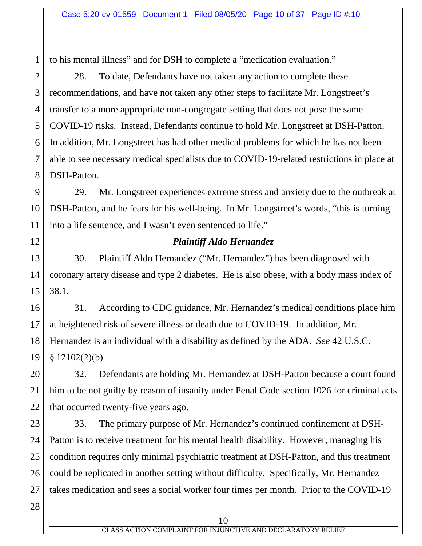to his mental illness" and for DSH to complete a "medication evaluation."

2 3 4 5 6 7 8 28. To date, Defendants have not taken any action to complete these recommendations, and have not taken any other steps to facilitate Mr. Longstreet's transfer to a more appropriate non-congregate setting that does not pose the same COVID-19 risks. Instead, Defendants continue to hold Mr. Longstreet at DSH-Patton. In addition, Mr. Longstreet has had other medical problems for which he has not been able to see necessary medical specialists due to COVID-19-related restrictions in place at DSH-Patton.

9 10 11 29. Mr. Longstreet experiences extreme stress and anxiety due to the outbreak at DSH-Patton, and he fears for his well-being. In Mr. Longstreet's words, "this is turning into a life sentence, and I wasn't even sentenced to life."

12

1

### *Plaintiff Aldo Hernandez*

13 14 15 30. Plaintiff Aldo Hernandez ("Mr. Hernandez") has been diagnosed with coronary artery disease and type 2 diabetes. He is also obese, with a body mass index of 38.1.

16 17 18 19 31. According to CDC guidance, Mr. Hernandez's medical conditions place him at heightened risk of severe illness or death due to COVID-19. In addition, Mr. Hernandez is an individual with a disability as defined by the ADA. *See* 42 U.S.C.  $$12102(2)(b).$ 

20 21 22 32. Defendants are holding Mr. Hernandez at DSH-Patton because a court found him to be not guilty by reason of insanity under Penal Code section 1026 for criminal acts that occurred twenty-five years ago.

23 24 25 26 27 33. The primary purpose of Mr. Hernandez's continued confinement at DSH-Patton is to receive treatment for his mental health disability. However, managing his condition requires only minimal psychiatric treatment at DSH-Patton, and this treatment could be replicated in another setting without difficulty. Specifically, Mr. Hernandez takes medication and sees a social worker four times per month. Prior to the COVID-19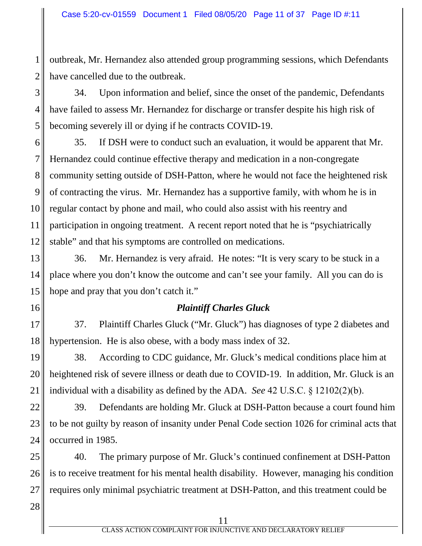outbreak, Mr. Hernandez also attended group programming sessions, which Defendants have cancelled due to the outbreak.

3 4 5 34. Upon information and belief, since the onset of the pandemic, Defendants have failed to assess Mr. Hernandez for discharge or transfer despite his high risk of becoming severely ill or dying if he contracts COVID-19.

6 7 8 9 10 11 12 35. If DSH were to conduct such an evaluation, it would be apparent that Mr. Hernandez could continue effective therapy and medication in a non-congregate community setting outside of DSH-Patton, where he would not face the heightened risk of contracting the virus. Mr. Hernandez has a supportive family, with whom he is in regular contact by phone and mail, who could also assist with his reentry and participation in ongoing treatment. A recent report noted that he is "psychiatrically stable" and that his symptoms are controlled on medications.

13 14 15 36. Mr. Hernandez is very afraid. He notes: "It is very scary to be stuck in a place where you don't know the outcome and can't see your family. All you can do is hope and pray that you don't catch it."

#### *Plaintiff Charles Gluck*

17 18 37. Plaintiff Charles Gluck ("Mr. Gluck") has diagnoses of type 2 diabetes and hypertension. He is also obese, with a body mass index of 32.

19 20 21 38. According to CDC guidance, Mr. Gluck's medical conditions place him at heightened risk of severe illness or death due to COVID-19. In addition, Mr. Gluck is an individual with a disability as defined by the ADA. *See* 42 U.S.C. § 12102(2)(b).

22 23 24 39. Defendants are holding Mr. Gluck at DSH-Patton because a court found him to be not guilty by reason of insanity under Penal Code section 1026 for criminal acts that occurred in 1985.

25 26 27 40. The primary purpose of Mr. Gluck's continued confinement at DSH-Patton is to receive treatment for his mental health disability. However, managing his condition requires only minimal psychiatric treatment at DSH-Patton, and this treatment could be

28

16

1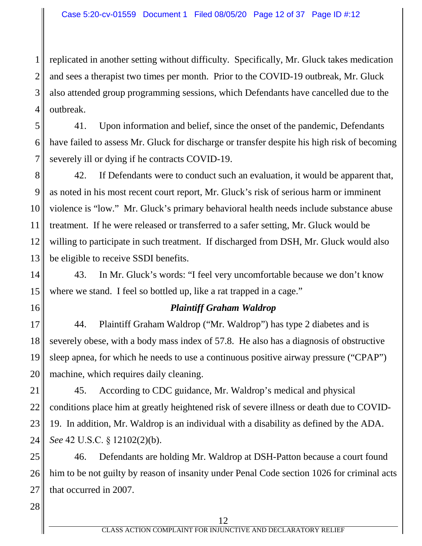1 2 3 4 replicated in another setting without difficulty. Specifically, Mr. Gluck takes medication and sees a therapist two times per month. Prior to the COVID-19 outbreak, Mr. Gluck also attended group programming sessions, which Defendants have cancelled due to the outbreak.

5 6 7 41. Upon information and belief, since the onset of the pandemic, Defendants have failed to assess Mr. Gluck for discharge or transfer despite his high risk of becoming severely ill or dying if he contracts COVID-19.

8 9 10 11 12 13 42. If Defendants were to conduct such an evaluation, it would be apparent that, as noted in his most recent court report, Mr. Gluck's risk of serious harm or imminent violence is "low." Mr. Gluck's primary behavioral health needs include substance abuse treatment. If he were released or transferred to a safer setting, Mr. Gluck would be willing to participate in such treatment. If discharged from DSH, Mr. Gluck would also be eligible to receive SSDI benefits.

14 15 43. In Mr. Gluck's words: "I feel very uncomfortable because we don't know where we stand. I feel so bottled up, like a rat trapped in a cage."

16

#### *Plaintiff Graham Waldrop*

17 18 19 20 44. Plaintiff Graham Waldrop ("Mr. Waldrop") has type 2 diabetes and is severely obese, with a body mass index of 57.8. He also has a diagnosis of obstructive sleep apnea, for which he needs to use a continuous positive airway pressure ("CPAP") machine, which requires daily cleaning.

21 22 23 24 45. According to CDC guidance, Mr. Waldrop's medical and physical conditions place him at greatly heightened risk of severe illness or death due to COVID-19. In addition, Mr. Waldrop is an individual with a disability as defined by the ADA. *See* 42 U.S.C. § 12102(2)(b).

25 26 27 46. Defendants are holding Mr. Waldrop at DSH-Patton because a court found him to be not guilty by reason of insanity under Penal Code section 1026 for criminal acts that occurred in 2007.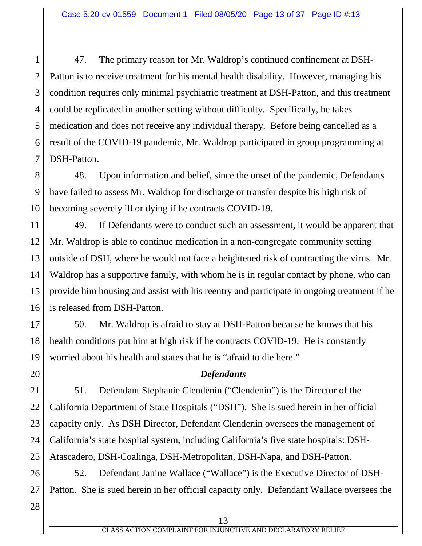1 2 3 4 5 6 7 47. The primary reason for Mr. Waldrop's continued confinement at DSH-Patton is to receive treatment for his mental health disability. However, managing his condition requires only minimal psychiatric treatment at DSH-Patton, and this treatment could be replicated in another setting without difficulty. Specifically, he takes medication and does not receive any individual therapy. Before being cancelled as a result of the COVID-19 pandemic, Mr. Waldrop participated in group programming at DSH-Patton.

8 9 10 48. Upon information and belief, since the onset of the pandemic, Defendants have failed to assess Mr. Waldrop for discharge or transfer despite his high risk of becoming severely ill or dying if he contracts COVID-19.

11 12 13 14 15 16 49. If Defendants were to conduct such an assessment, it would be apparent that Mr. Waldrop is able to continue medication in a non-congregate community setting outside of DSH, where he would not face a heightened risk of contracting the virus. Mr. Waldrop has a supportive family, with whom he is in regular contact by phone, who can provide him housing and assist with his reentry and participate in ongoing treatment if he is released from DSH-Patton.

17 18 19 50. Mr. Waldrop is afraid to stay at DSH-Patton because he knows that his health conditions put him at high risk if he contracts COVID-19. He is constantly worried about his health and states that he is "afraid to die here."

#### *Defendants*

21 22 23 24 25 51. Defendant Stephanie Clendenin ("Clendenin") is the Director of the California Department of State Hospitals ("DSH"). She is sued herein in her official capacity only. As DSH Director, Defendant Clendenin oversees the management of California's state hospital system, including California's five state hospitals: DSH-Atascadero, DSH-Coalinga, DSH-Metropolitan, DSH-Napa, and DSH-Patton.

26 27 52. Defendant Janine Wallace ("Wallace") is the Executive Director of DSH-Patton. She is sued herein in her official capacity only. Defendant Wallace oversees the

28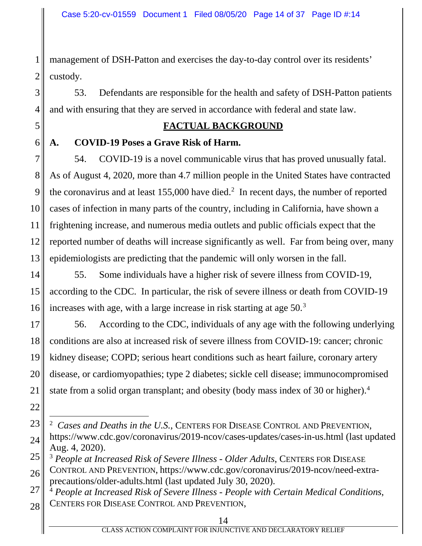1 2 management of DSH-Patton and exercises the day-to-day control over its residents' custody.

53. Defendants are responsible for the health and safety of DSH-Patton patients and with ensuring that they are served in accordance with federal and state law.

### **FACTUAL BACKGROUND**

**A. COVID-19 Poses a Grave Risk of Harm.**

3

4

5

6

22

7 8 9 10 11 12 13 54. COVID-19 is a novel communicable virus that has proved unusually fatal. As of August 4, 2020, more than 4.7 million people in the United States have contracted the coronavirus and at least  $155,000$  have died.<sup>2</sup> In recent days, the number of reported cases of infection in many parts of the country, including in California, have shown a frightening increase, and numerous media outlets and public officials expect that the reported number of deaths will increase significantly as well. Far from being over, many epidemiologists are predicting that the pandemic will only worsen in the fall.

14 15 16 55. Some individuals have a higher risk of severe illness from COVID-19, according to the CDC. In particular, the risk of severe illness or death from COVID-19 increases with age, with a large increase in risk starting at age 50.<sup>3</sup>

17 18 19 20 21 56. According to the CDC, individuals of any age with the following underlying conditions are also at increased risk of severe illness from COVID-19: cancer; chronic kidney disease; COPD; serious heart conditions such as heart failure, coronary artery disease, or cardiomyopathies; type 2 diabetes; sickle cell disease; immunocompromised state from a solid organ transplant; and obesity (body mass index of 30 or higher). 4

26 CONTROL AND PREVENTION, https://www.cdc.gov/coronavirus/2019-ncov/need-extraprecautions/older-adults.html (last updated July 30, 2020).

<sup>23</sup> 24 2 *Cases and Deaths in the U.S.*, CENTERS FOR DISEASE CONTROL AND PREVENTION, https://www.cdc.gov/coronavirus/2019-ncov/cases-updates/cases-in-us.html (last updated Aug. 4, 2020).

<sup>25</sup> <sup>3</sup> *People at Increased Risk of Severe Illness - Older Adults*, CENTERS FOR DISEASE

<sup>27</sup> 28 <sup>4</sup> *People at Increased Risk of Severe Illness - People with Certain Medical Conditions*, CENTERS FOR DISEASE CONTROL AND PREVENTION,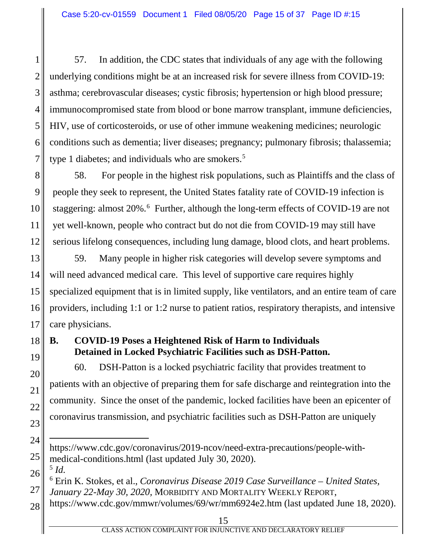1 2 3 4 5 6 7 57. In addition, the CDC states that individuals of any age with the following underlying conditions might be at an increased risk for severe illness from COVID-19: asthma; cerebrovascular diseases; cystic fibrosis; hypertension or high blood pressure; immunocompromised state from blood or bone marrow transplant, immune deficiencies, HIV, use of corticosteroids, or use of other immune weakening medicines; neurologic conditions such as dementia; liver diseases; pregnancy; pulmonary fibrosis; thalassemia; type 1 diabetes; and individuals who are smokers. 5

8 9 10 11 12 58. For people in the highest risk populations, such as Plaintiffs and the class of people they seek to represent, the United States fatality rate of COVID-19 infection is staggering: almost 20%. 6 Further, although the long-term effects of COVID-19 are not yet well-known, people who contract but do not die from COVID-19 may still have serious lifelong consequences, including lung damage, blood clots, and heart problems.

13 14 15 16 17 59. Many people in higher risk categories will develop severe symptoms and will need advanced medical care. This level of supportive care requires highly specialized equipment that is in limited supply, like ventilators, and an entire team of care providers, including 1:1 or 1:2 nurse to patient ratios, respiratory therapists, and intensive care physicians.

18 19

20

21

22

23

24

25

27

# **B. COVID-19 Poses a Heightened Risk of Harm to Individuals Detained in Locked Psychiatric Facilities such as DSH-Patton.**

60. DSH-Patton is a locked psychiatric facility that provides treatment to patients with an objective of preparing them for safe discharge and reintegration into the community. Since the onset of the pandemic, locked facilities have been an epicenter of coronavirus transmission, and psychiatric facilities such as DSH-Patton are uniquely

<sup>5</sup> *Id.*

28 https://www.cdc.gov/mmwr/volumes/69/wr/mm6924e2.htm (last updated June 18, 2020).

 $\overline{a}$ https://www.cdc.gov/coronavirus/2019-ncov/need-extra-precautions/people-withmedical-conditions.html (last updated July 30, 2020).

<sup>26</sup> <sup>6</sup> Erin K. Stokes, et al., *Coronavirus Disease 2019 Case Surveillance – United States, January 22-May 30, 2020,* MORBIDITY AND MORTALITY WEEKLY REPORT,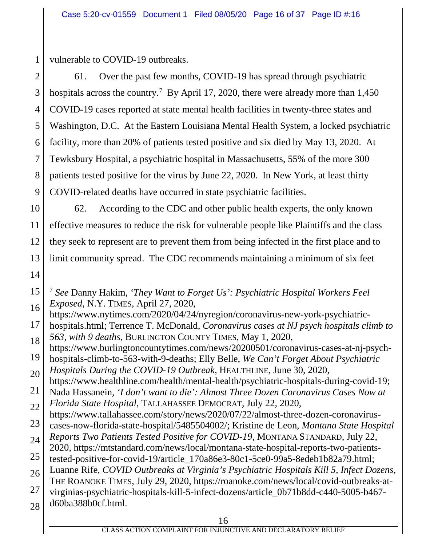vulnerable to COVID-19 outbreaks.

2 3 4 5 6 7 8 9 61. Over the past few months, COVID-19 has spread through psychiatric hospitals across the country.<sup>7</sup> By April 17, 2020, there were already more than 1,450 COVID-19 cases reported at state mental health facilities in twenty-three states and Washington, D.C. At the Eastern Louisiana Mental Health System, a locked psychiatric facility, more than 20% of patients tested positive and six died by May 13, 2020. At Tewksbury Hospital, a psychiatric hospital in Massachusetts, 55% of the more 300 patients tested positive for the virus by June 22, 2020. In New York, at least thirty COVID-related deaths have occurred in state psychiatric facilities.

- 10 11 12 13 62. According to the CDC and other public health experts, the only known effective measures to reduce the risk for vulnerable people like Plaintiffs and the class they seek to represent are to prevent them from being infected in the first place and to limit community spread. The CDC recommends maintaining a minimum of six feet
- 14

- https://www.nytimes.com/2020/04/24/nyregion/coronavirus-new-york-psychiatric-
- 17 18 hospitals.html; Terrence T. McDonald, *Coronavirus cases at NJ psych hospitals climb to 563, with 9 deaths*, BURLINGTON COUNTY TIMES, May 1, 2020,

<sup>15</sup> 16 7 *See* Danny Hakim, *'They Want to Forget Us': Psychiatric Hospital Workers Feel Exposed*, N.Y. TIMES, April 27, 2020,

<sup>19</sup> https://www.burlingtoncountytimes.com/news/20200501/coronavirus-cases-at-nj-psychhospitals-climb-to-563-with-9-deaths; Elly Belle, *We Can't Forget About Psychiatric* 

<sup>20</sup> *Hospitals During the COVID-19 Outbreak*, HEALTHLINE, June 30, 2020,

https://www.healthline.com/health/mental-health/psychiatric-hospitals-during-covid-19;

<sup>21</sup> 22 Nada Hassanein, *'I don't want to die': Almost Three Dozen Coronavirus Cases Now at Florida State Hospital*, TALLAHASSEE DEMOCRAT, July 22, 2020,

https://www.tallahassee.com/story/news/2020/07/22/almost-three-dozen-coronavirus-

<sup>23</sup> cases-now-florida-state-hospital/5485504002/; Kristine de Leon, *Montana State Hospital* 

<sup>24</sup> *Reports Two Patients Tested Positive for COVID-19*, MONTANA STANDARD, July 22,

<sup>25</sup> 2020, https://mtstandard.com/news/local/montana-state-hospital-reports-two-patients-

tested-positive-for-covid-19/article\_170a86e3-80c1-5ce0-99a5-8edeb1b82a79.html;

<sup>26</sup> Luanne Rife, *COVID Outbreaks at Virginia's Psychiatric Hospitals Kill 5, Infect Dozens*, THE ROANOKE TIMES, July 29, 2020, https://roanoke.com/news/local/covid-outbreaks-at-

<sup>27</sup> virginias-psychiatric-hospitals-kill-5-infect-dozens/article\_0b71b8dd-c440-5005-b467-

<sup>28</sup> d60ba388b0cf.html.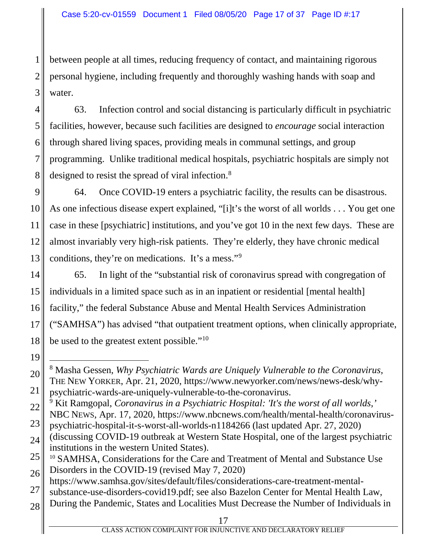3 between people at all times, reducing frequency of contact, and maintaining rigorous personal hygiene, including frequently and thoroughly washing hands with soap and water.

1

2

19

4 5 6 7 8 63. Infection control and social distancing is particularly difficult in psychiatric facilities, however, because such facilities are designed to *encourage* social interaction through shared living spaces, providing meals in communal settings, and group programming. Unlike traditional medical hospitals, psychiatric hospitals are simply not designed to resist the spread of viral infection.<sup>8</sup>

9 10 11 12 13 64. Once COVID-19 enters a psychiatric facility, the results can be disastrous. As one infectious disease expert explained, "[i]t's the worst of all worlds . . . You get one case in these [psychiatric] institutions, and you've got 10 in the next few days. These are almost invariably very high-risk patients. They're elderly, they have chronic medical conditions, they're on medications. It's a mess."9

14 15 16 17 18 65. In light of the "substantial risk of coronavirus spread with congregation of individuals in a limited space such as in an inpatient or residential [mental health] facility," the federal Substance Abuse and Mental Health Services Administration ("SAMHSA") has advised "that outpatient treatment options, when clinically appropriate, be used to the greatest extent possible."<sup>10</sup>

<sup>20</sup> 21 8 Masha Gessen, *Why Psychiatric Wards are Uniquely Vulnerable to the Coronavirus*, THE NEW YORKER, Apr. 21, 2020, https://www.newyorker.com/news/news-desk/whypsychiatric-wards-are-uniquely-vulnerable-to-the-coronavirus.

<sup>22</sup> <sup>9</sup> Kit Ramgopal, *Coronavirus in a Psychiatric Hospital: 'It's the worst of all worlds,'* 

NBC NEWS, Apr. 17, 2020, https://www.nbcnews.com/health/mental-health/coronavirus-

<sup>23</sup> psychiatric-hospital-it-s-worst-all-worlds-n1184266 (last updated Apr. 27, 2020)

<sup>24</sup> (discussing COVID-19 outbreak at Western State Hospital, one of the largest psychiatric institutions in the western United States).

<sup>25</sup> 26 <sup>10</sup> SAMHSA, Considerations for the Care and Treatment of Mental and Substance Use Disorders in the COVID-19 (revised May 7, 2020)

https://www.samhsa.gov/sites/default/files/considerations-care-treatment-mental-

<sup>27</sup> substance-use-disorders-covid19.pdf; see also Bazelon Center for Mental Health Law,

<sup>28</sup> During the Pandemic, States and Localities Must Decrease the Number of Individuals in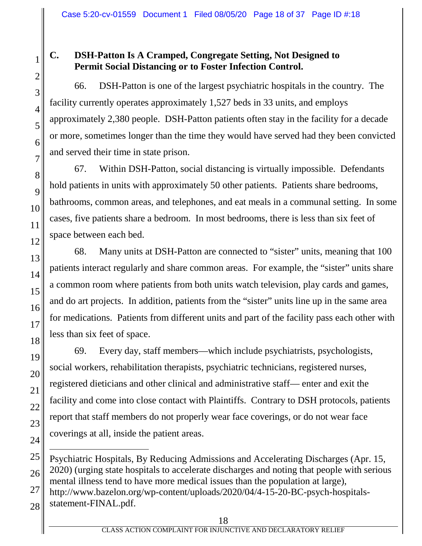### **C. DSH-Patton Is A Cramped, Congregate Setting, Not Designed to Permit Social Distancing or to Foster Infection Control.**

66. DSH-Patton is one of the largest psychiatric hospitals in the country. The facility currently operates approximately 1,527 beds in 33 units, and employs approximately 2,380 people. DSH-Patton patients often stay in the facility for a decade or more, sometimes longer than the time they would have served had they been convicted and served their time in state prison.

67. Within DSH-Patton, social distancing is virtually impossible. Defendants hold patients in units with approximately 50 other patients. Patients share bedrooms, bathrooms, common areas, and telephones, and eat meals in a communal setting. In some cases, five patients share a bedroom. In most bedrooms, there is less than six feet of space between each bed.

68. Many units at DSH-Patton are connected to "sister" units, meaning that 100 patients interact regularly and share common areas. For example, the "sister" units share a common room where patients from both units watch television, play cards and games, and do art projects. In addition, patients from the "sister" units line up in the same area for medications. Patients from different units and part of the facility pass each other with less than six feet of space.

69. Every day, staff members—which include psychiatrists, psychologists, social workers, rehabilitation therapists, psychiatric technicians, registered nurses, registered dieticians and other clinical and administrative staff— enter and exit the facility and come into close contact with Plaintiffs. Contrary to DSH protocols, patients report that staff members do not properly wear face coverings, or do not wear face coverings at all, inside the patient areas.

 $\overline{a}$ Psychiatric Hospitals, By Reducing Admissions and Accelerating Discharges (Apr. 15, 2020) (urging state hospitals to accelerate discharges and noting that people with serious mental illness tend to have more medical issues than the population at large),

http://www.bazelon.org/wp-content/uploads/2020/04/4-15-20-BC-psych-hospitals-

statement-FINAL.pdf.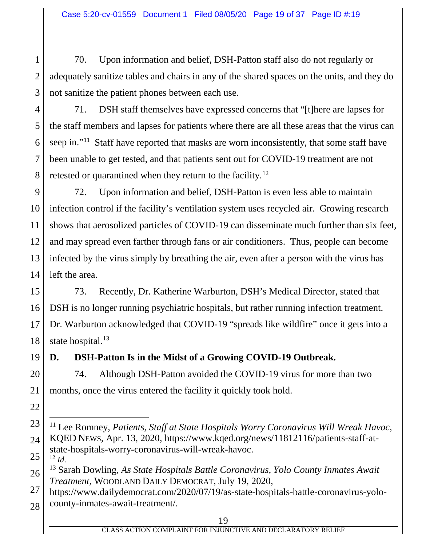70. Upon information and belief, DSH-Patton staff also do not regularly or adequately sanitize tables and chairs in any of the shared spaces on the units, and they do not sanitize the patient phones between each use.

4 5 6 7 8 71. DSH staff themselves have expressed concerns that "[t]here are lapses for the staff members and lapses for patients where there are all these areas that the virus can seep in."<sup>11</sup> Staff have reported that masks are worn inconsistently, that some staff have been unable to get tested, and that patients sent out for COVID-19 treatment are not retested or quarantined when they return to the facility.<sup>12</sup>

9 10 11 12 13 14 72. Upon information and belief, DSH-Patton is even less able to maintain infection control if the facility's ventilation system uses recycled air. Growing research shows that aerosolized particles of COVID-19 can disseminate much further than six feet, and may spread even farther through fans or air conditioners. Thus, people can become infected by the virus simply by breathing the air, even after a person with the virus has left the area.

15 16 17 18 73. Recently, Dr. Katherine Warburton, DSH's Medical Director, stated that DSH is no longer running psychiatric hospitals, but rather running infection treatment. Dr. Warburton acknowledged that COVID-19 "spreads like wildfire" once it gets into a state hospital.<sup>13</sup>

19

22

1

2

3

# **D. DSH-Patton Is in the Midst of a Growing COVID-19 Outbreak.**

20 21 74. Although DSH-Patton avoided the COVID-19 virus for more than two months, once the virus entered the facility it quickly took hold.

<sup>23</sup> 24 25 11 Lee Romney, *Patients, Staff at State Hospitals Worry Coronavirus Will Wreak Havoc*, KQED NEWS, Apr. 13, 2020, https://www.kqed.org/news/11812116/patients-staff-atstate-hospitals-worry-coronavirus-will-wreak-havoc.  $12$  *Id.* 

<sup>26</sup> <sup>13</sup> Sarah Dowling, *As State Hospitals Battle Coronavirus, Yolo County Inmates Await Treatment*, WOODLAND DAILY DEMOCRAT, July 19, 2020,

<sup>27</sup> 28 https://www.dailydemocrat.com/2020/07/19/as-state-hospitals-battle-coronavirus-yolocounty-inmates-await-treatment/.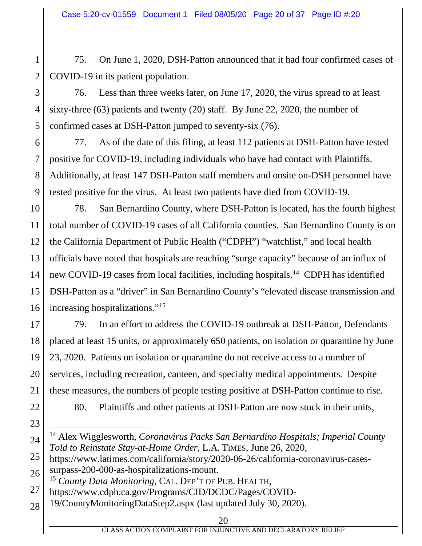75. On June 1, 2020, DSH-Patton announced that it had four confirmed cases of COVID-19 in its patient population.

3 4 5 76. Less than three weeks later, on June 17, 2020, the virus spread to at least sixty-three (63) patients and twenty (20) staff. By June 22, 2020, the number of confirmed cases at DSH-Patton jumped to seventy-six (76).

6 7 8 9 77. As of the date of this filing, at least 112 patients at DSH-Patton have tested positive for COVID-19, including individuals who have had contact with Plaintiffs. Additionally, at least 147 DSH-Patton staff members and onsite on-DSH personnel have tested positive for the virus. At least two patients have died from COVID-19.

10 11 12 13 14 15 16 78. San Bernardino County, where DSH-Patton is located, has the fourth highest total number of COVID-19 cases of all California counties. San Bernardino County is on the California Department of Public Health ("CDPH") "watchlist," and local health officials have noted that hospitals are reaching "surge capacity" because of an influx of new COVID-19 cases from local facilities, including hospitals.<sup>14</sup> CDPH has identified DSH-Patton as a "driver" in San Bernardino County's "elevated disease transmission and increasing hospitalizations."15

17 18 19 20 21 79. In an effort to address the COVID-19 outbreak at DSH-Patton, Defendants placed at least 15 units, or approximately 650 patients, on isolation or quarantine by June 23, 2020. Patients on isolation or quarantine do not receive access to a number of services, including recreation, canteen, and specialty medical appointments. Despite these measures, the numbers of people testing positive at DSH-Patton continue to rise.

22 23

24

1

2

80. Plaintiffs and other patients at DSH-Patton are now stuck in their units,

25 26 https://www.latimes.com/california/story/2020-06-26/california-coronavirus-casessurpass-200-000-as-hospitalizations-mount.

<sup>15</sup> *County Data Monitoring*, CAL. DEP'T OF PUB. HEALTH,

 <sup>14</sup> Alex Wigglesworth, *Coronavirus Packs San Bernardino Hospitals; Imperial County Told to Reinstate Stay-at-Home Order*, L.A. TIMES, June 26, 2020,

<sup>27</sup> https://www.cdph.ca.gov/Programs/CID/DCDC/Pages/COVID-

<sup>28</sup> 19/CountyMonitoringDataStep2.aspx (last updated July 30, 2020).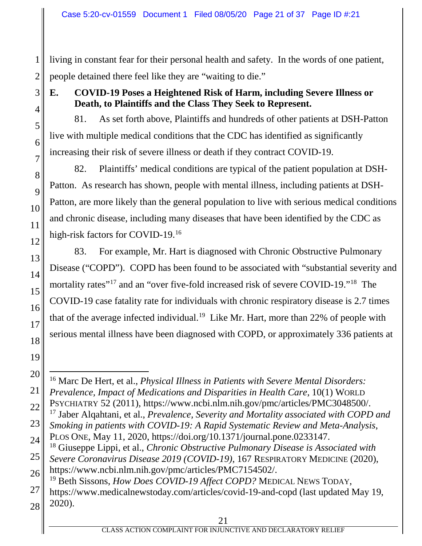living in constant fear for their personal health and safety. In the words of one patient, people detained there feel like they are "waiting to die."

# **E. COVID-19 Poses a Heightened Risk of Harm, including Severe Illness or Death, to Plaintiffs and the Class They Seek to Represent.**

81. As set forth above, Plaintiffs and hundreds of other patients at DSH-Patton live with multiple medical conditions that the CDC has identified as significantly increasing their risk of severe illness or death if they contract COVID-19.

82. Plaintiffs' medical conditions are typical of the patient population at DSH-Patton. As research has shown, people with mental illness, including patients at DSH-Patton, are more likely than the general population to live with serious medical conditions and chronic disease, including many diseases that have been identified by the CDC as high-risk factors for COVID-19.16

83. For example, Mr. Hart is diagnosed with Chronic Obstructive Pulmonary Disease ("COPD"). COPD has been found to be associated with "substantial severity and mortality rates"<sup>17</sup> and an "over five-fold increased risk of severe COVID-19."<sup>18</sup> The COVID-19 case fatality rate for individuals with chronic respiratory disease is 2.7 times that of the average infected individual.<sup>19</sup> Like Mr. Hart, more than 22% of people with serious mental illness have been diagnosed with COPD, or approximately 336 patients at

 <sup>16</sup> Marc De Hert, et al., *Physical Illness in Patients with Severe Mental Disorders: Prevalence, Impact of Medications and Disparities in Health Care*, 10(1) WORLD PSYCHIATRY 52 (2011), https://www.ncbi.nlm.nih.gov/pmc/articles/PMC3048500/.

<sup>17</sup> Jaber Alqahtani, et al., *Prevalence, Severity and Mortality associated with COPD and* 

*Smoking in patients with COVID-19: A Rapid Systematic Review and Meta-Analysis*,

PLOS ONE, May 11, 2020, https://doi.org/10.1371/journal.pone.0233147.

<sup>18</sup> Giuseppe Lippi, et al., *Chronic Obstructive Pulmonary Disease is Associated with* 

*Severe Coronavirus Disease 2019 (COVID-19)*, 167 RESPIRATORY MEDICINE (2020), https://www.ncbi.nlm.nih.gov/pmc/articles/PMC7154502/.

<sup>19</sup> Beth Sissons, *How Does COVID-19 Affect COPD?* MEDICAL NEWS TODAY,

https://www.medicalnewstoday.com/articles/covid-19-and-copd (last updated May 19, 2020).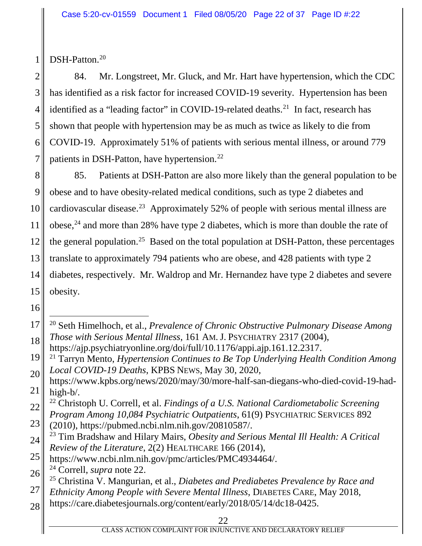DSH-Patton. 20

1

2 3 4 5 6 7 84. Mr. Longstreet, Mr. Gluck, and Mr. Hart have hypertension, which the CDC has identified as a risk factor for increased COVID-19 severity. Hypertension has been identified as a "leading factor" in COVID-19-related deaths.<sup>21</sup> In fact, research has shown that people with hypertension may be as much as twice as likely to die from COVID-19. Approximately 51% of patients with serious mental illness, or around 779 patients in DSH-Patton, have hypertension.<sup>22</sup>

8 9 10 11 12 13 14 15 85. Patients at DSH-Patton are also more likely than the general population to be obese and to have obesity-related medical conditions, such as type 2 diabetes and cardiovascular disease.23 Approximately 52% of people with serious mental illness are obese,  $24$  and more than 28% have type 2 diabetes, which is more than double the rate of the general population.<sup>25</sup> Based on the total population at DSH-Patton, these percentages translate to approximately 794 patients who are obese, and 428 patients with type 2 diabetes, respectively. Mr. Waldrop and Mr. Hernandez have type 2 diabetes and severe obesity.

<sup>17</sup> 18 20 Seth Himelhoch, et al., *Prevalence of Chronic Obstructive Pulmonary Disease Among Those with Serious Mental Illness*, 161 AM.J. PSYCHIATRY 2317 (2004), https://ajp.psychiatryonline.org/doi/full/10.1176/appi.ajp.161.12.2317.

<sup>19</sup> 20 <sup>21</sup> Tarryn Mento, *Hypertension Continues to Be Top Underlying Health Condition Among Local COVID-19 Deaths*, KPBS NEWS, May 30, 2020,

<sup>21</sup> https://www.kpbs.org/news/2020/may/30/more-half-san-diegans-who-died-covid-19-hadhigh-b/.

<sup>22</sup> <sup>22</sup> Christoph U. Correll, et al. *Findings of a U.S. National Cardiometabolic Screening Program Among 10,084 Psychiatric Outpatients*, 61(9) PSYCHIATRIC SERVICES 892

<sup>23</sup> (2010), https://pubmed.ncbi.nlm.nih.gov/20810587/.

<sup>24</sup> <sup>23</sup> Tim Bradshaw and Hilary Mairs, *Obesity and Serious Mental Ill Health: A Critical Review of the Literature*, 2(2) HEALTHCARE 166 (2014),

<sup>25</sup> https://www.ncbi.nlm.nih.gov/pmc/articles/PMC4934464/.

<sup>26</sup> <sup>24</sup> Correll, *supra* note 22.

<sup>25</sup> Christina V. Mangurian, et al., *Diabetes and Prediabetes Prevalence by Race and* 

<sup>27</sup> *Ethnicity Among People with Severe Mental Illness*, DIABETES CARE, May 2018,

<sup>28</sup> https://care.diabetesjournals.org/content/early/2018/05/14/dc18-0425.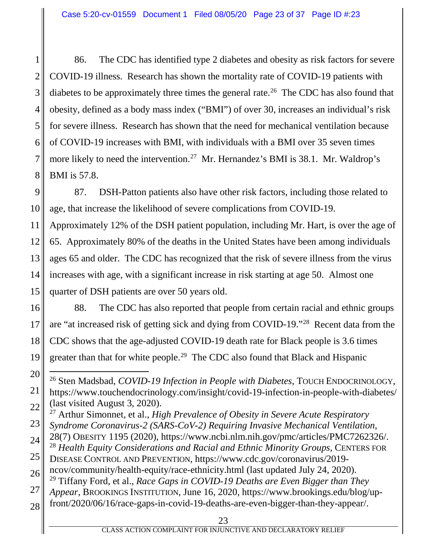1 2 3 4 5 6 7 8 86. The CDC has identified type 2 diabetes and obesity as risk factors for severe COVID-19 illness. Research has shown the mortality rate of COVID-19 patients with diabetes to be approximately three times the general rate.<sup>26</sup> The CDC has also found that obesity, defined as a body mass index ("BMI") of over 30, increases an individual's risk for severe illness. Research has shown that the need for mechanical ventilation because of COVID-19 increases with BMI, with individuals with a BMI over 35 seven times more likely to need the intervention.<sup>27</sup> Mr. Hernandez's BMI is 38.1. Mr. Waldrop's BMI is 57.8.

9 10 87. DSH-Patton patients also have other risk factors, including those related to age, that increase the likelihood of severe complications from COVID-19.

11 12 13 14 15 Approximately 12% of the DSH patient population, including Mr. Hart, is over the age of 65. Approximately 80% of the deaths in the United States have been among individuals ages 65 and older. The CDC has recognized that the risk of severe illness from the virus increases with age, with a significant increase in risk starting at age 50. Almost one quarter of DSH patients are over 50 years old.

16 17 18 19 88. The CDC has also reported that people from certain racial and ethnic groups are "at increased risk of getting sick and dying from COVID-19."28 Recent data from the CDC shows that the age-adjusted COVID-19 death rate for Black people is 3.6 times greater than that for white people.<sup>29</sup> The CDC also found that Black and Hispanic

20 21 22 26 Sten Madsbad, *COVID-19 Infection in People with Diabetes*, TOUCH ENDOCRINOLOGY, https://www.touchendocrinology.com/insight/covid-19-infection-in-people-with-diabetes/ (last visited August 3, 2020).

<sup>27</sup> Arthur Simonnet, et al., *High Prevalence of Obesity in Severe Acute Respiratory* 

- 23 *Syndrome Coronavirus-2 (SARS-CoV-2) Requiring Invasive Mechanical Ventilation*,
- 24 28(7) OBESITY 1195 (2020), https://www.ncbi.nlm.nih.gov/pmc/articles/PMC7262326/. <sup>28</sup> *Health Equity Considerations and Racial and Ethnic Minority Groups*, CENTERS FOR
- 25 DISEASE CONTROL AND PREVENTION, https://www.cdc.gov/coronavirus/2019-
- 26 ncov/community/health-equity/race-ethnicity.html (last updated July 24, 2020).
- 27 <sup>29</sup> Tiffany Ford, et al., *Race Gaps in COVID-19 Deaths are Even Bigger than They*
- *Appear*, BROOKINGS INSTITUTION, June 16, 2020, https://www.brookings.edu/blog/up-
- 28 front/2020/06/16/race-gaps-in-covid-19-deaths-are-even-bigger-than-they-appear/.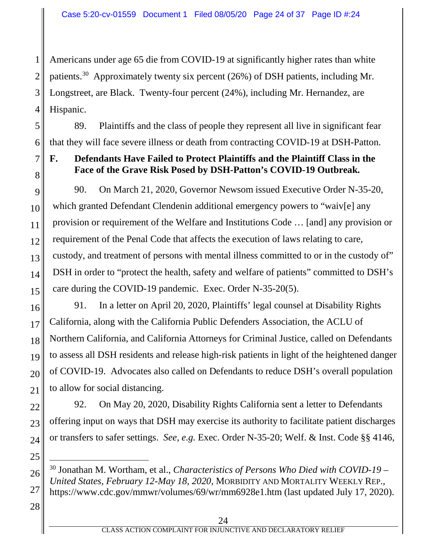1 2 3 4 Americans under age 65 die from COVID-19 at significantly higher rates than white patients.30 Approximately twenty six percent (26%) of DSH patients, including Mr. Longstreet, are Black. Twenty-four percent (24%), including Mr. Hernandez, are Hispanic.

5 6 89. Plaintiffs and the class of people they represent all live in significant fear that they will face severe illness or death from contracting COVID-19 at DSH-Patton.

# **F. Defendants Have Failed to Protect Plaintiffs and the Plaintiff Class in the Face of the Grave Risk Posed by DSH-Patton's COVID-19 Outbreak.**

9 10 11 12 13 14 15 90. On March 21, 2020, Governor Newsom issued Executive Order N-35-20, which granted Defendant Clendenin additional emergency powers to "waiv[e] any provision or requirement of the Welfare and Institutions Code … [and] any provision or requirement of the Penal Code that affects the execution of laws relating to care, custody, and treatment of persons with mental illness committed to or in the custody of" DSH in order to "protect the health, safety and welfare of patients" committed to DSH's care during the COVID-19 pandemic. Exec. Order N-35-20(5).

91. In a letter on April 20, 2020, Plaintiffs' legal counsel at Disability Rights California, along with the California Public Defenders Association, the ACLU of Northern California, and California Attorneys for Criminal Justice, called on Defendants to assess all DSH residents and release high-risk patients in light of the heightened danger of COVID-19. Advocates also called on Defendants to reduce DSH's overall population to allow for social distancing.

92. On May 20, 2020, Disability Rights California sent a letter to Defendants offering input on ways that DSH may exercise its authority to facilitate patient discharges or transfers to safer settings. *See, e.g.* Exec. Order N-35-20; Welf. & Inst. Code §§ 4146,

28

27

7

8

16

17

18

19

20

21

22

23

24

25

 <sup>30</sup> Jonathan M. Wortham, et al., *Characteristics of Persons Who Died with COVID-19 – United States, February 12-May 18, 2020,* MORBIDITY AND MORTALITY WEEKLY REP., https://www.cdc.gov/mmwr/volumes/69/wr/mm6928e1.htm (last updated July 17, 2020).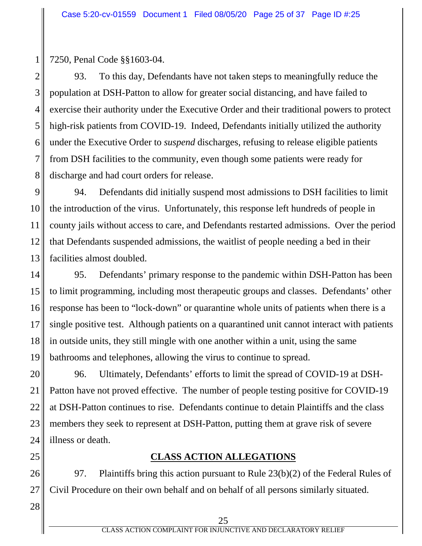7250, Penal Code §§1603-04.

1

2 3 4 5 6 7 8 93. To this day, Defendants have not taken steps to meaningfully reduce the population at DSH-Patton to allow for greater social distancing, and have failed to exercise their authority under the Executive Order and their traditional powers to protect high-risk patients from COVID-19. Indeed, Defendants initially utilized the authority under the Executive Order to *suspend* discharges, refusing to release eligible patients from DSH facilities to the community, even though some patients were ready for discharge and had court orders for release.

9 10 11 12 13 94. Defendants did initially suspend most admissions to DSH facilities to limit the introduction of the virus. Unfortunately, this response left hundreds of people in county jails without access to care, and Defendants restarted admissions. Over the period that Defendants suspended admissions, the waitlist of people needing a bed in their facilities almost doubled.

14 15 16 17 18 19 95. Defendants' primary response to the pandemic within DSH-Patton has been to limit programming, including most therapeutic groups and classes. Defendants' other response has been to "lock-down" or quarantine whole units of patients when there is a single positive test. Although patients on a quarantined unit cannot interact with patients in outside units, they still mingle with one another within a unit, using the same bathrooms and telephones, allowing the virus to continue to spread.

20 21 22 23 24 96. Ultimately, Defendants' efforts to limit the spread of COVID-19 at DSH-Patton have not proved effective. The number of people testing positive for COVID-19 at DSH-Patton continues to rise. Defendants continue to detain Plaintiffs and the class members they seek to represent at DSH-Patton, putting them at grave risk of severe illness or death.

### **CLASS ACTION ALLEGATIONS**

97. Plaintiffs bring this action pursuant to Rule 23(b)(2) of the Federal Rules of Civil Procedure on their own behalf and on behalf of all persons similarly situated.

28

27

25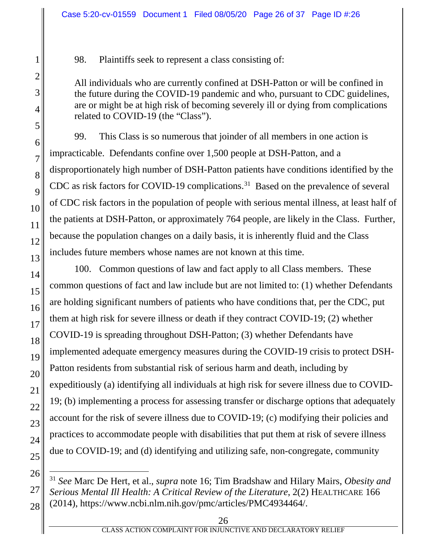98. Plaintiffs seek to represent a class consisting of:

All individuals who are currently confined at DSH-Patton or will be confined in the future during the COVID-19 pandemic and who, pursuant to CDC guidelines, are or might be at high risk of becoming severely ill or dying from complications related to COVID-19 (the "Class").

99. This Class is so numerous that joinder of all members in one action is impracticable. Defendants confine over 1,500 people at DSH-Patton, and a disproportionately high number of DSH-Patton patients have conditions identified by the CDC as risk factors for COVID-19 complications.<sup>31</sup> Based on the prevalence of several of CDC risk factors in the population of people with serious mental illness, at least half of the patients at DSH-Patton, or approximately 764 people, are likely in the Class. Further, because the population changes on a daily basis, it is inherently fluid and the Class includes future members whose names are not known at this time.

100. Common questions of law and fact apply to all Class members. These common questions of fact and law include but are not limited to: (1) whether Defendants are holding significant numbers of patients who have conditions that, per the CDC, put them at high risk for severe illness or death if they contract COVID-19; (2) whether COVID-19 is spreading throughout DSH-Patton; (3) whether Defendants have implemented adequate emergency measures during the COVID-19 crisis to protect DSH-Patton residents from substantial risk of serious harm and death, including by expeditiously (a) identifying all individuals at high risk for severe illness due to COVID-19; (b) implementing a process for assessing transfer or discharge options that adequately account for the risk of severe illness due to COVID-19; (c) modifying their policies and practices to accommodate people with disabilities that put them at risk of severe illness due to COVID-19; and (d) identifying and utilizing safe, non-congregate, community

 <sup>31</sup> *See* Marc De Hert, et al., *supra* note 16; Tim Bradshaw and Hilary Mairs, *Obesity and Serious Mental Ill Health: A Critical Review of the Literature*, 2(2) HEALTHCARE 166 (2014), https://www.ncbi.nlm.nih.gov/pmc/articles/PMC4934464/.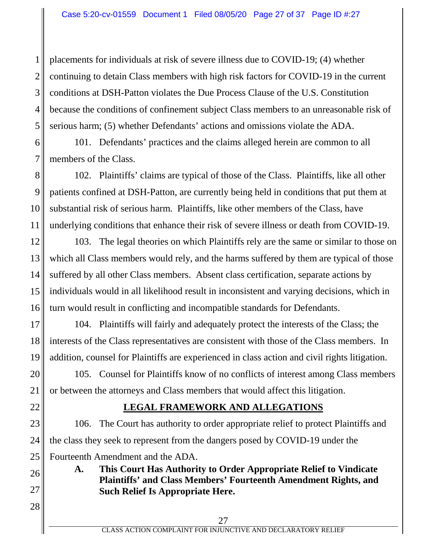1

22

26

27

28

2 3 4 5 placements for individuals at risk of severe illness due to COVID-19; (4) whether continuing to detain Class members with high risk factors for COVID-19 in the current conditions at DSH-Patton violates the Due Process Clause of the U.S. Constitution because the conditions of confinement subject Class members to an unreasonable risk of serious harm; (5) whether Defendants' actions and omissions violate the ADA.

6 7 101. Defendants' practices and the claims alleged herein are common to all members of the Class.

8 9 10 11 102. Plaintiffs' claims are typical of those of the Class. Plaintiffs, like all other patients confined at DSH-Patton, are currently being held in conditions that put them at substantial risk of serious harm. Plaintiffs, like other members of the Class, have underlying conditions that enhance their risk of severe illness or death from COVID-19.

12 13 14 15 16 103. The legal theories on which Plaintiffs rely are the same or similar to those on which all Class members would rely, and the harms suffered by them are typical of those suffered by all other Class members. Absent class certification, separate actions by individuals would in all likelihood result in inconsistent and varying decisions, which in turn would result in conflicting and incompatible standards for Defendants.

17 18 19 104. Plaintiffs will fairly and adequately protect the interests of the Class; the interests of the Class representatives are consistent with those of the Class members. In addition, counsel for Plaintiffs are experienced in class action and civil rights litigation.

20 21 105. Counsel for Plaintiffs know of no conflicts of interest among Class members or between the attorneys and Class members that would affect this litigation.

### **LEGAL FRAMEWORK AND ALLEGATIONS**

23 24 25 106. The Court has authority to order appropriate relief to protect Plaintiffs and the class they seek to represent from the dangers posed by COVID-19 under the Fourteenth Amendment and the ADA.

**A. This Court Has Authority to Order Appropriate Relief to Vindicate Plaintiffs' and Class Members' Fourteenth Amendment Rights, and Such Relief Is Appropriate Here.**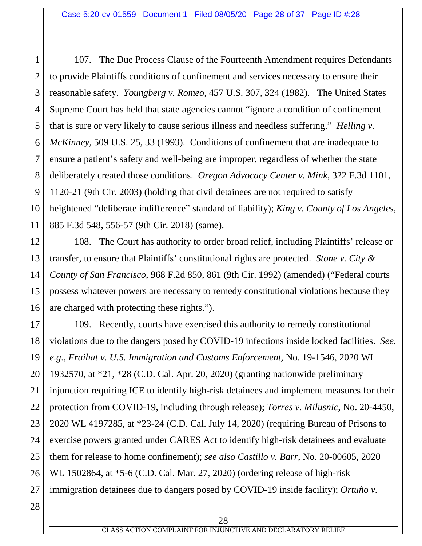1 2 3 4 5 6 7 8 9 10 11 107. The Due Process Clause of the Fourteenth Amendment requires Defendants to provide Plaintiffs conditions of confinement and services necessary to ensure their reasonable safety. *Youngberg v. Romeo*, 457 U.S. 307, 324 (1982). The United States Supreme Court has held that state agencies cannot "ignore a condition of confinement that is sure or very likely to cause serious illness and needless suffering." *Helling v. McKinney*, 509 U.S. 25, 33 (1993). Conditions of confinement that are inadequate to ensure a patient's safety and well-being are improper, regardless of whether the state deliberately created those conditions. *Oregon Advocacy Center v. Mink*, 322 F.3d 1101, 1120-21 (9th Cir. 2003) (holding that civil detainees are not required to satisfy heightened "deliberate indifference" standard of liability); *King v. County of Los Angeles*, 885 F.3d 548, 556-57 (9th Cir. 2018) (same).

12 13 14 15 16 108. The Court has authority to order broad relief, including Plaintiffs' release or transfer, to ensure that Plaintiffs' constitutional rights are protected. *Stone v. City & County of San Francisco*, 968 F.2d 850, 861 (9th Cir. 1992) (amended) ("Federal courts possess whatever powers are necessary to remedy constitutional violations because they are charged with protecting these rights.").

17 18 19 20 21 22 23 24 25 26 27 109. Recently, courts have exercised this authority to remedy constitutional violations due to the dangers posed by COVID-19 infections inside locked facilities. *See, e.g.*, *Fraihat v. U.S. Immigration and Customs Enforcement*, No. 19-1546, 2020 WL 1932570, at \*21, \*28 (C.D. Cal. Apr. 20, 2020) (granting nationwide preliminary injunction requiring ICE to identify high-risk detainees and implement measures for their protection from COVID-19, including through release); *Torres v. Milusnic*, No. 20-4450, 2020 WL 4197285, at \*23-24 (C.D. Cal. July 14, 2020) (requiring Bureau of Prisons to exercise powers granted under CARES Act to identify high-risk detainees and evaluate them for release to home confinement); *see also Castillo v. Barr*, No. 20-00605, 2020 WL 1502864, at \*5-6 (C.D. Cal. Mar. 27, 2020) (ordering release of high-risk immigration detainees due to dangers posed by COVID-19 inside facility); *Ortuño v.*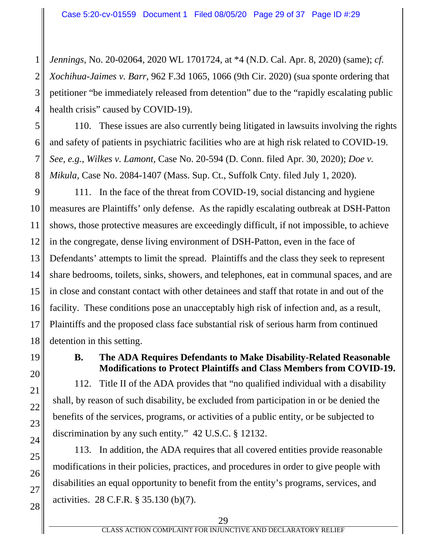1 2 3 4 *Jennings*, No. 20-02064, 2020 WL 1701724, at \*4 (N.D. Cal. Apr. 8, 2020) (same); *cf. Xochihua-Jaimes v. Barr*, 962 F.3d 1065, 1066 (9th Cir. 2020) (sua sponte ordering that petitioner "be immediately released from detention" due to the "rapidly escalating public health crisis" caused by COVID-19).

5 6 7 8 110. These issues are also currently being litigated in lawsuits involving the rights and safety of patients in psychiatric facilities who are at high risk related to COVID-19. *See, e.g.*, *Wilkes v. Lamont*, Case No. 20-594 (D. Conn. filed Apr. 30, 2020); *Doe v. Mikula*, Case No. 2084-1407 (Mass. Sup. Ct., Suffolk Cnty. filed July 1, 2020).

9 10 11 12 13 14 15 16 17 18 111. In the face of the threat from COVID-19, social distancing and hygiene measures are Plaintiffs' only defense. As the rapidly escalating outbreak at DSH-Patton shows, those protective measures are exceedingly difficult, if not impossible, to achieve in the congregate, dense living environment of DSH-Patton, even in the face of Defendants' attempts to limit the spread. Plaintiffs and the class they seek to represent share bedrooms, toilets, sinks, showers, and telephones, eat in communal spaces, and are in close and constant contact with other detainees and staff that rotate in and out of the facility. These conditions pose an unacceptably high risk of infection and, as a result, Plaintiffs and the proposed class face substantial risk of serious harm from continued detention in this setting.

19

20

21

22

23

24

25

26

27

28

### **B. The ADA Requires Defendants to Make Disability-Related Reasonable Modifications to Protect Plaintiffs and Class Members from COVID-19.**

112. Title II of the ADA provides that "no qualified individual with a disability shall, by reason of such disability, be excluded from participation in or be denied the benefits of the services, programs, or activities of a public entity, or be subjected to discrimination by any such entity." 42 U.S.C. § 12132.

113. In addition, the ADA requires that all covered entities provide reasonable modifications in their policies, practices, and procedures in order to give people with disabilities an equal opportunity to benefit from the entity's programs, services, and activities. 28 C.F.R. § 35.130 (b)(7).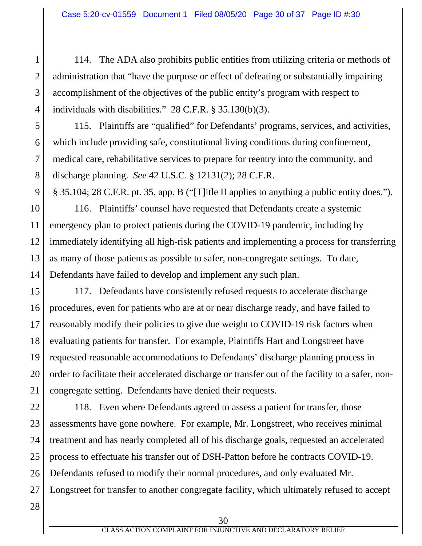114. The ADA also prohibits public entities from utilizing criteria or methods of administration that "have the purpose or effect of defeating or substantially impairing accomplishment of the objectives of the public entity's program with respect to individuals with disabilities." 28 C.F.R. § 35.130(b)(3).

5 6 7 8 115. Plaintiffs are "qualified" for Defendants' programs, services, and activities, which include providing safe, constitutional living conditions during confinement, medical care, rehabilitative services to prepare for reentry into the community, and discharge planning. *See* 42 U.S.C. § 12131(2); 28 C.F.R.

9 § 35.104; 28 C.F.R. pt. 35, app. B ("[T]itle II applies to anything a public entity does.").

10 11 12 13 14 116. Plaintiffs' counsel have requested that Defendants create a systemic emergency plan to protect patients during the COVID-19 pandemic, including by immediately identifying all high-risk patients and implementing a process for transferring as many of those patients as possible to safer, non-congregate settings. To date, Defendants have failed to develop and implement any such plan.

15 16 17 18 19 20 21 117. Defendants have consistently refused requests to accelerate discharge procedures, even for patients who are at or near discharge ready, and have failed to reasonably modify their policies to give due weight to COVID-19 risk factors when evaluating patients for transfer. For example, Plaintiffs Hart and Longstreet have requested reasonable accommodations to Defendants' discharge planning process in order to facilitate their accelerated discharge or transfer out of the facility to a safer, noncongregate setting. Defendants have denied their requests.

22 23 24 25 26 27 118. Even where Defendants agreed to assess a patient for transfer, those assessments have gone nowhere. For example, Mr. Longstreet, who receives minimal treatment and has nearly completed all of his discharge goals, requested an accelerated process to effectuate his transfer out of DSH-Patton before he contracts COVID-19. Defendants refused to modify their normal procedures, and only evaluated Mr. Longstreet for transfer to another congregate facility, which ultimately refused to accept

28

1

2

3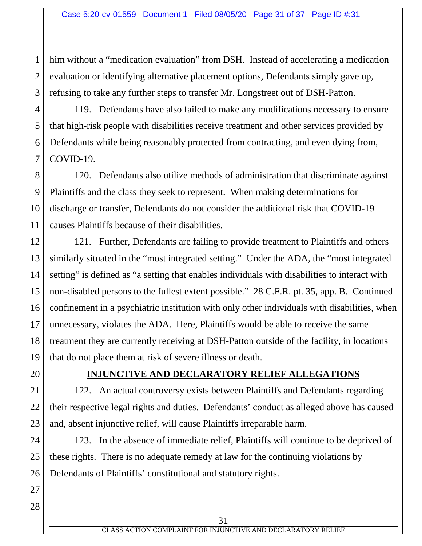him without a "medication evaluation" from DSH. Instead of accelerating a medication evaluation or identifying alternative placement options, Defendants simply gave up, refusing to take any further steps to transfer Mr. Longstreet out of DSH-Patton.

4 5 6 7 119. Defendants have also failed to make any modifications necessary to ensure that high-risk people with disabilities receive treatment and other services provided by Defendants while being reasonably protected from contracting, and even dying from, COVID-19.

8 9 10 11 120. Defendants also utilize methods of administration that discriminate against Plaintiffs and the class they seek to represent. When making determinations for discharge or transfer, Defendants do not consider the additional risk that COVID-19 causes Plaintiffs because of their disabilities.

12 13 14 15 16 17 18 19 121. Further, Defendants are failing to provide treatment to Plaintiffs and others similarly situated in the "most integrated setting." Under the ADA, the "most integrated setting" is defined as "a setting that enables individuals with disabilities to interact with non-disabled persons to the fullest extent possible." 28 C.F.R. pt. 35, app. B. Continued confinement in a psychiatric institution with only other individuals with disabilities, when unnecessary, violates the ADA. Here, Plaintiffs would be able to receive the same treatment they are currently receiving at DSH-Patton outside of the facility, in locations that do not place them at risk of severe illness or death.

20

1

2

3

### **INJUNCTIVE AND DECLARATORY RELIEF ALLEGATIONS**

21 22 23 122. An actual controversy exists between Plaintiffs and Defendants regarding their respective legal rights and duties. Defendants' conduct as alleged above has caused and, absent injunctive relief, will cause Plaintiffs irreparable harm.

24 25 26 123. In the absence of immediate relief, Plaintiffs will continue to be deprived of these rights. There is no adequate remedy at law for the continuing violations by Defendants of Plaintiffs' constitutional and statutory rights.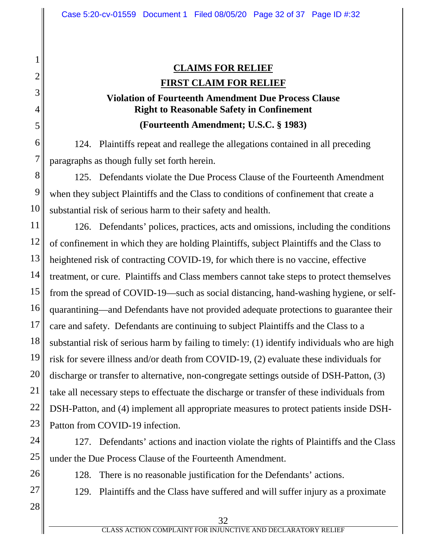# **CLAIMS FOR RELIEF FIRST CLAIM FOR RELIEF**

# **Violation of Fourteenth Amendment Due Process Clause Right to Reasonable Safety in Confinement (Fourteenth Amendment; U.S.C. § 1983)**

124. Plaintiffs repeat and reallege the allegations contained in all preceding paragraphs as though fully set forth herein.

125. Defendants violate the Due Process Clause of the Fourteenth Amendment when they subject Plaintiffs and the Class to conditions of confinement that create a substantial risk of serious harm to their safety and health.

11 12 13 14 15 16 17 18 19 20 21 22 23 126. Defendants' polices, practices, acts and omissions, including the conditions of confinement in which they are holding Plaintiffs, subject Plaintiffs and the Class to heightened risk of contracting COVID-19, for which there is no vaccine, effective treatment, or cure. Plaintiffs and Class members cannot take steps to protect themselves from the spread of COVID-19—such as social distancing, hand-washing hygiene, or selfquarantining—and Defendants have not provided adequate protections to guarantee their care and safety. Defendants are continuing to subject Plaintiffs and the Class to a substantial risk of serious harm by failing to timely: (1) identify individuals who are high risk for severe illness and/or death from COVID-19, (2) evaluate these individuals for discharge or transfer to alternative, non-congregate settings outside of DSH-Patton, (3) take all necessary steps to effectuate the discharge or transfer of these individuals from DSH-Patton, and (4) implement all appropriate measures to protect patients inside DSH-Patton from COVID-19 infection.

24 25 127. Defendants' actions and inaction violate the rights of Plaintiffs and the Class under the Due Process Clause of the Fourteenth Amendment.

128. There is no reasonable justification for the Defendants' actions.

129. Plaintiffs and the Class have suffered and will suffer injury as a proximate

28

26

27

1

2

3

4

5

6

7

8

9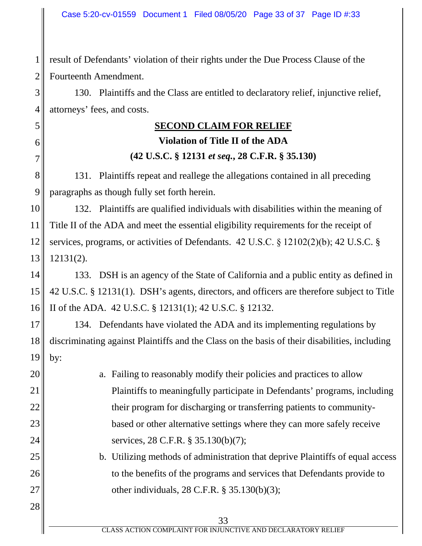1 2 result of Defendants' violation of their rights under the Due Process Clause of the Fourteenth Amendment.

5

6

7

20

21

22

23

24

25

26

27

28

3 4 130. Plaintiffs and the Class are entitled to declaratory relief, injunctive relief, attorneys' fees, and costs.

# **SECOND CLAIM FOR RELIEF**

# **Violation of Title II of the ADA (42 U.S.C. § 12131** *et seq.***, 28 C.F.R. § 35.130)**

8 9 131. Plaintiffs repeat and reallege the allegations contained in all preceding paragraphs as though fully set forth herein.

10 11 12 13 132. Plaintiffs are qualified individuals with disabilities within the meaning of Title II of the ADA and meet the essential eligibility requirements for the receipt of services, programs, or activities of Defendants. 42 U.S.C. § 12102(2)(b); 42 U.S.C. § 12131(2).

14 15 16 133. DSH is an agency of the State of California and a public entity as defined in 42 U.S.C. § 12131(1). DSH's agents, directors, and officers are therefore subject to Title II of the ADA. 42 U.S.C. § 12131(1); 42 U.S.C. § 12132.

17 18 19 134. Defendants have violated the ADA and its implementing regulations by discriminating against Plaintiffs and the Class on the basis of their disabilities, including by:

- a. Failing to reasonably modify their policies and practices to allow Plaintiffs to meaningfully participate in Defendants' programs, including their program for discharging or transferring patients to communitybased or other alternative settings where they can more safely receive services, 28 C.F.R. § 35.130(b)(7);
	- b. Utilizing methods of administration that deprive Plaintiffs of equal access to the benefits of the programs and services that Defendants provide to other individuals, 28 C.F.R. § 35.130(b)(3);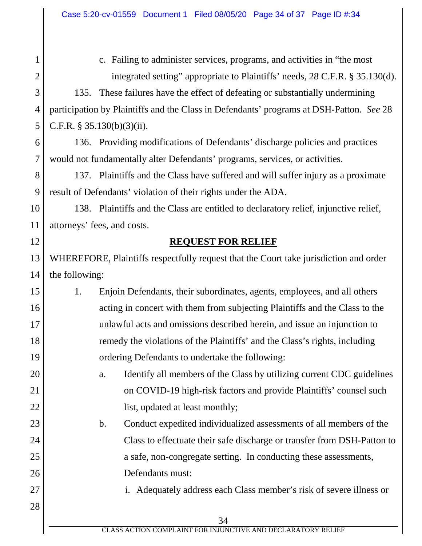1

2

4

5

12

20

21

22

23

24

25

26

27

28

c. Failing to administer services, programs, and activities in "the most integrated setting" appropriate to Plaintiffs' needs, 28 C.F.R. § 35.130(d).

3 135. These failures have the effect of defeating or substantially undermining participation by Plaintiffs and the Class in Defendants' programs at DSH-Patton. *See* 28 C.F.R. § 35.130(b)(3)(ii).

6 7 136. Providing modifications of Defendants' discharge policies and practices would not fundamentally alter Defendants' programs, services, or activities.

8 9 137. Plaintiffs and the Class have suffered and will suffer injury as a proximate result of Defendants' violation of their rights under the ADA.

10 11 138. Plaintiffs and the Class are entitled to declaratory relief, injunctive relief, attorneys' fees, and costs.

### **REQUEST FOR RELIEF**

13 14 WHEREFORE, Plaintiffs respectfully request that the Court take jurisdiction and order the following:

- 15 16 17 18 19 1. Enjoin Defendants, their subordinates, agents, employees, and all others acting in concert with them from subjecting Plaintiffs and the Class to the unlawful acts and omissions described herein, and issue an injunction to remedy the violations of the Plaintiffs' and the Class's rights, including ordering Defendants to undertake the following:
	- a. Identify all members of the Class by utilizing current CDC guidelines on COVID-19 high-risk factors and provide Plaintiffs' counsel such list, updated at least monthly;

b. Conduct expedited individualized assessments of all members of the Class to effectuate their safe discharge or transfer from DSH-Patton to a safe, non-congregate setting. In conducting these assessments, Defendants must:

i. Adequately address each Class member's risk of severe illness or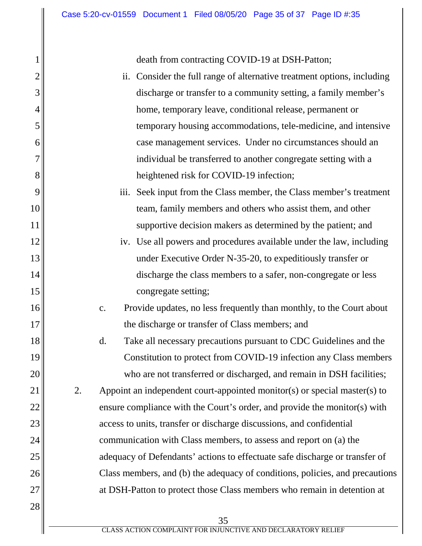1

2

3

4

5

6

7

8

9

10

11

12

13

14

15

16

17

18

19

20

21

22

23

24

25

26

27

28

death from contracting COVID-19 at DSH-Patton;

- ii. Consider the full range of alternative treatment options, including discharge or transfer to a community setting, a family member's home, temporary leave, conditional release, permanent or temporary housing accommodations, tele-medicine, and intensive case management services. Under no circumstances should an individual be transferred to another congregate setting with a heightened risk for COVID-19 infection;
- iii. Seek input from the Class member, the Class member's treatment team, family members and others who assist them, and other supportive decision makers as determined by the patient; and
- iv. Use all powers and procedures available under the law, including under Executive Order N-35-20, to expeditiously transfer or discharge the class members to a safer, non-congregate or less congregate setting;
- c. Provide updates, no less frequently than monthly, to the Court about the discharge or transfer of Class members; and
- d. Take all necessary precautions pursuant to CDC Guidelines and the Constitution to protect from COVID-19 infection any Class members who are not transferred or discharged, and remain in DSH facilities;
- 2. Appoint an independent court-appointed monitor(s) or special master(s) to ensure compliance with the Court's order, and provide the monitor(s) with access to units, transfer or discharge discussions, and confidential communication with Class members, to assess and report on (a) the adequacy of Defendants' actions to effectuate safe discharge or transfer of Class members, and (b) the adequacy of conditions, policies, and precautions at DSH-Patton to protect those Class members who remain in detention at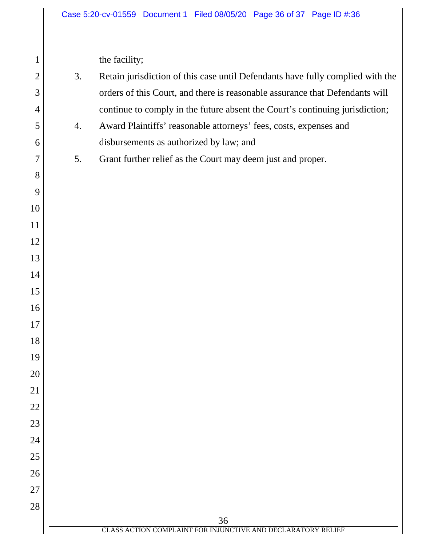the facility;

| Retain jurisdiction of this case until Defendants have fully complied with the<br>3. |  |
|--------------------------------------------------------------------------------------|--|
| orders of this Court, and there is reasonable assurance that Defendants will         |  |
| continue to comply in the future absent the Court's continuing jurisdiction;         |  |
| Award Plaintiffs' reasonable attorneys' fees, costs, expenses and                    |  |
|                                                                                      |  |

disbursements as authorized by law; and

5. Grant further relief as the Court may deem just and proper.